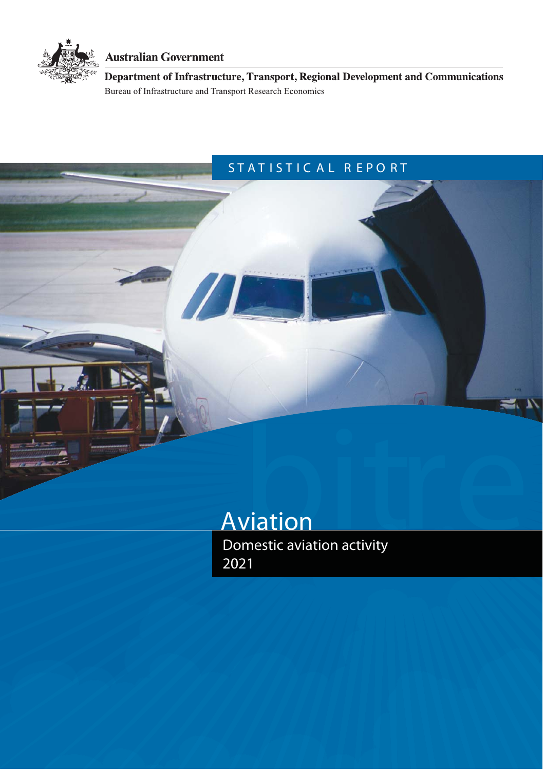

## **Australian Government**

Department of Infrastructure, Transport, Regional Development and Communications Bureau of Infrastructure and Transport Research Economics

## STAT IST IC AL R EPO RT

# Aviation

**Domestic aviation activity 2021**

7. Y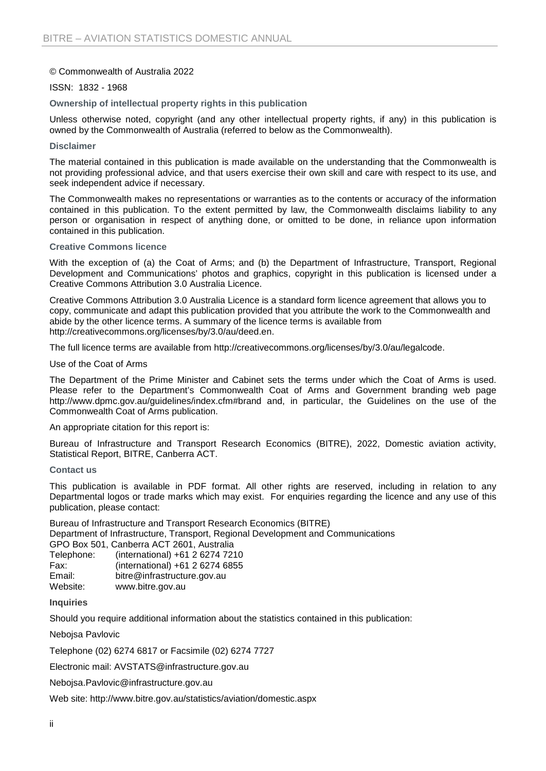#### © Commonwealth of Australia 2022

#### ISSN: 1832 - 1968

**Ownership of intellectual property rights in this publication** 

Unless otherwise noted, copyright (and any other intellectual property rights, if any) in this publication is owned by the Commonwealth of Australia (referred to below as the Commonwealth).

#### **Disclaimer**

The material contained in this publication is made available on the understanding that the Commonwealth is not providing professional advice, and that users exercise their own skill and care with respect to its use, and seek independent advice if necessary.

The Commonwealth makes no representations or warranties as to the contents or accuracy of the information contained in this publication. To the extent permitted by law, the Commonwealth disclaims liability to any person or organisation in respect of anything done, or omitted to be done, in reliance upon information contained in this publication.

#### **Creative Commons licence**

With the exception of (a) the Coat of Arms; and (b) the Department of Infrastructure, Transport, Regional Development and Communications' photos and graphics, copyright in this publication is licensed under a Creative Commons Attribution 3.0 Australia Licence.

Creative Commons Attribution 3.0 Australia Licence is a standard form licence agreement that allows you to copy, communicate and adapt this publication provided that you attribute the work to the Commonwealth and abide by the other licence terms. A summary of the licence terms is available from [http://creativecommons.org/licenses/by/3.0/au/deed.en.](http://creativecommons.org/licenses/by/3.0/au/deed.en)

The full licence terms are available from http://creativecommons.org/licenses/by/3.0/au/legalcode.

#### Use of the Coat of Arms

The Department of the Prime Minister and Cabinet sets the terms under which the Coat of Arms is used. Please refer to the Department's Commonwealth Coat of Arms and Government branding web page http://www.dpmc.gov.au/guidelines/index.cfm#brand and, in particular, the Guidelines on the use of the Commonwealth Coat of Arms publication.

An appropriate citation for this report is:

Bureau of Infrastructure and Transport Research Economics (BITRE), 2022, Domestic aviation activity, Statistical Report, BITRE, Canberra ACT.

#### **Contact us**

This publication is available in PDF format. All other rights are reserved, including in relation to any Departmental logos or trade marks which may exist. For enquiries regarding the licence and any use of this publication, please contact:

Bureau of Infrastructure and Transport Research Economics (BITRE) Department of Infrastructure, Transport, Regional Development and Communications

|            | GPO Box 501, Canberra ACT 2601, Australia |
|------------|-------------------------------------------|
| Telephone: | (international) +61 2 6274 7210           |
| Fax:       | (international) +61 2 6274 6855           |
| Email:     | bitre@infrastructure.gov.au               |
| Website:   | www.bitre.gov.au                          |

#### **Inquiries**

Should you require additional information about the statistics contained in this publication:

Nebojsa Pavlovic

Telephone (02) 6274 6817 or Facsimile (02) 6274 7727

Electronic mail: [AVSTATS@infrastructure.gov.au](mailto:AVSTATS@infrastructure.gov.au)

Nebojsa.Pavlovic@infrastructure.gov.au

Web site: http://www.bitre.gov.au/statistics/aviation/domestic.aspx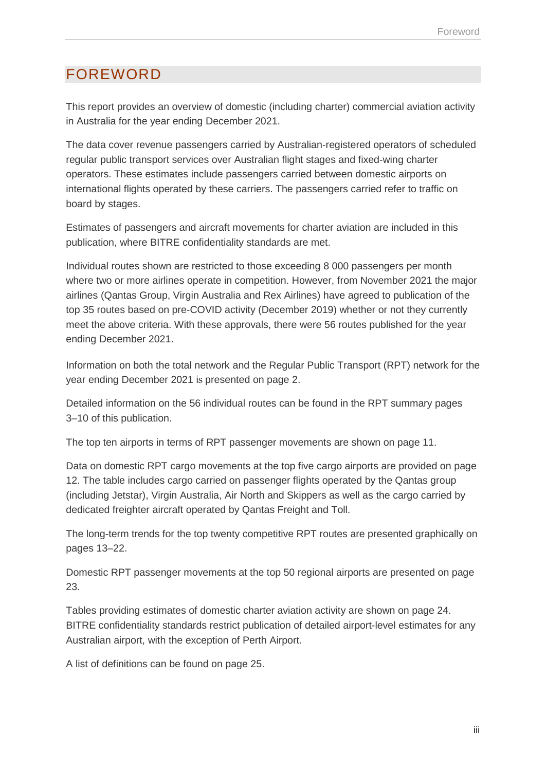## FOREWORD

This report provides an overview of domestic (including charter) commercial aviation activity in Australia for the year ending December 2021.

The data cover revenue passengers carried by Australian-registered operators of scheduled regular public transport services over Australian flight stages and fixed-wing charter operators. These estimates include passengers carried between domestic airports on international flights operated by these carriers. The passengers carried refer to traffic on board by stages.

Estimates of passengers and aircraft movements for charter aviation are included in this publication, where BITRE confidentiality standards are met.

Individual routes shown are restricted to those exceeding 8 000 passengers per month where two or more airlines operate in competition. However, from November 2021 the major airlines (Qantas Group, Virgin Australia and Rex Airlines) have agreed to publication of the top 35 routes based on pre-COVID activity (December 2019) whether or not they currently meet the above criteria. With these approvals, there were 56 routes published for the year ending December 2021.

Information on both the total network and the Regular Public Transport (RPT) network for the year ending December 2021 is presented on page 2.

Detailed information on the 56 individual routes can be found in the RPT summary pages 3–10 of this publication.

The top ten airports in terms of RPT passenger movements are shown on page 11.

Data on domestic RPT cargo movements at the top five cargo airports are provided on page 12. The table includes cargo carried on passenger flights operated by the Qantas group (including Jetstar), Virgin Australia, Air North and Skippers as well as the cargo carried by dedicated freighter aircraft operated by Qantas Freight and Toll.

The long-term trends for the top twenty competitive RPT routes are presented graphically on pages 13–22.

Domestic RPT passenger movements at the top 50 regional airports are presented on page 23.

Tables providing estimates of domestic charter aviation activity are shown on page 24. BITRE confidentiality standards restrict publication of detailed airport-level estimates for any Australian airport, with the exception of Perth Airport.

A list of definitions can be found on page 25.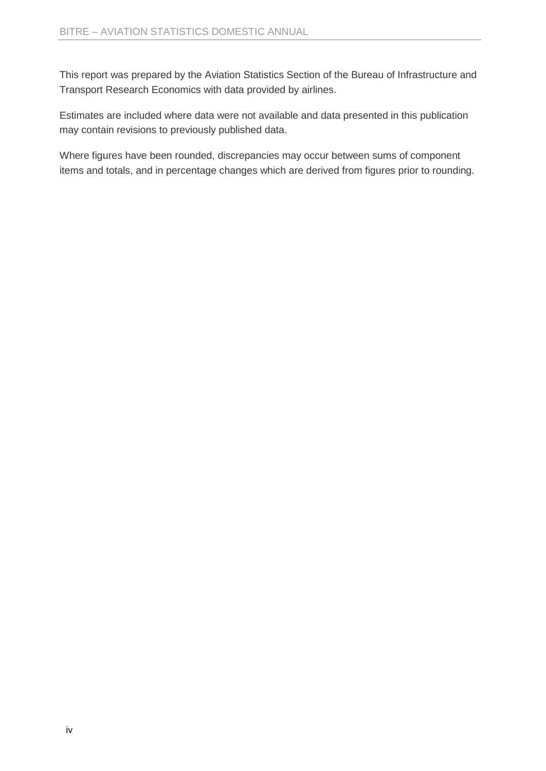This report was prepared by the Aviation Statistics Section of the Bureau of Infrastructure and Transport Research Economics with data provided by airlines.

Estimates are included where data were not available and data presented in this publication may contain revisions to previously published data.

Where figures have been rounded, discrepancies may occur between sums of component items and totals, and in percentage changes which are derived from figures prior to rounding.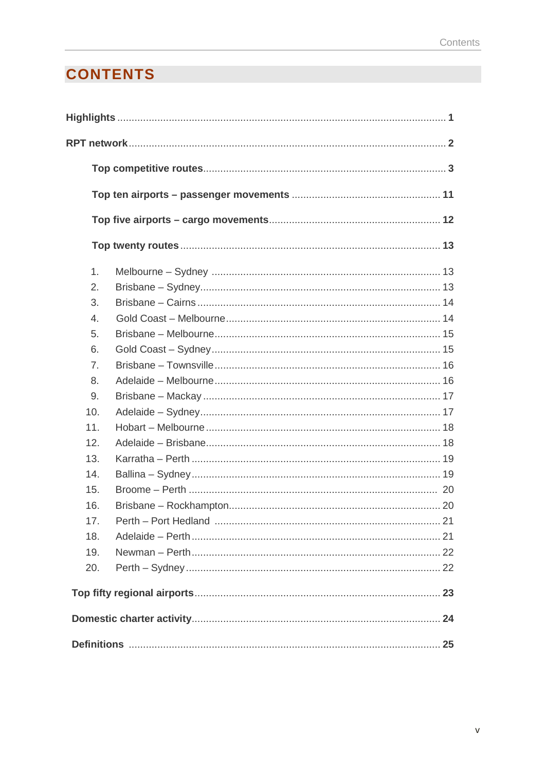## **CONTENTS**

| 1.               |                       |    |  |  |
|------------------|-----------------------|----|--|--|
| 2.               |                       |    |  |  |
| 3.               |                       |    |  |  |
| $\overline{4}$ . |                       |    |  |  |
| 5.               |                       |    |  |  |
| 6.               |                       |    |  |  |
| 7 <sub>1</sub>   |                       |    |  |  |
| 8.               |                       |    |  |  |
| 9.               |                       |    |  |  |
| 10.              |                       |    |  |  |
| 11.              |                       |    |  |  |
| 12.              |                       |    |  |  |
| 13.              |                       |    |  |  |
| 14.              |                       |    |  |  |
| 15.              |                       |    |  |  |
| 16.              |                       |    |  |  |
| 17 <sup>2</sup>  | Perth - Port Hedland. | 21 |  |  |
| 18.              |                       |    |  |  |
| 19.              |                       |    |  |  |
| 20.              |                       |    |  |  |
|                  |                       |    |  |  |
|                  |                       |    |  |  |
|                  |                       |    |  |  |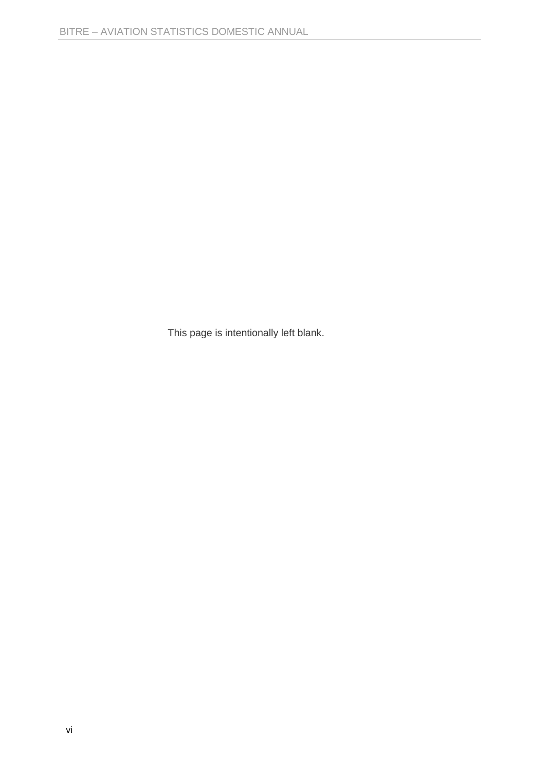This page is intentionally left blank.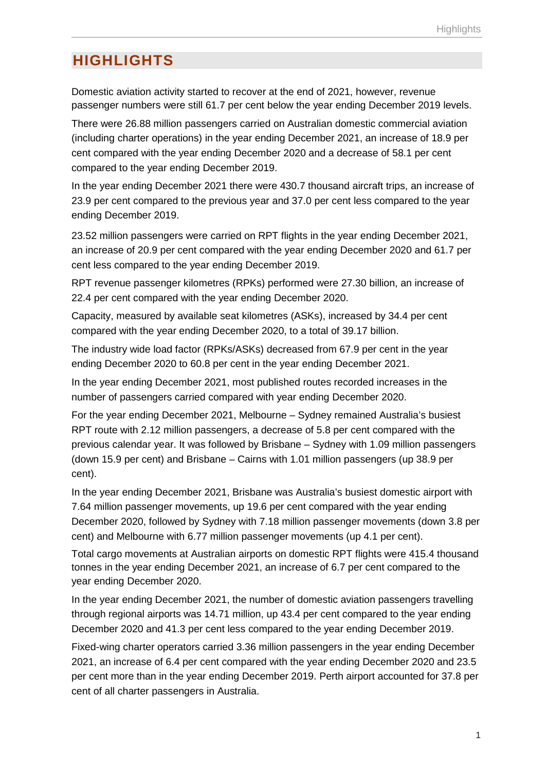## **HIGHLIGHTS**

Domestic aviation activity started to recover at the end of 2021, however, revenue passenger numbers were still 61.7 per cent below the year ending December 2019 levels.

There were 26.88 million passengers carried on Australian domestic commercial aviation (including charter operations) in the year ending December 2021, an increase of 18.9 per cent compared with the year ending December 2020 and a decrease of 58.1 per cent compared to the year ending December 2019.

In the year ending December 2021 there were 430.7 thousand aircraft trips, an increase of 23.9 per cent compared to the previous year and 37.0 per cent less compared to the year ending December 2019.

23.52 million passengers were carried on RPT flights in the year ending December 2021, an increase of 20.9 per cent compared with the year ending December 2020 and 61.7 per cent less compared to the year ending December 2019.

RPT revenue passenger kilometres (RPKs) performed were 27.30 billion, an increase of 22.4 per cent compared with the year ending December 2020.

Capacity, measured by available seat kilometres (ASKs), increased by 34.4 per cent compared with the year ending December 2020, to a total of 39.17 billion.

The industry wide load factor (RPKs/ASKs) decreased from 67.9 per cent in the year ending December 2020 to 60.8 per cent in the year ending December 2021.

In the year ending December 2021, most published routes recorded increases in the number of passengers carried compared with year ending December 2020.

For the year ending December 2021, Melbourne – Sydney remained Australia's busiest RPT route with 2.12 million passengers, a decrease of 5.8 per cent compared with the previous calendar year. It was followed by Brisbane – Sydney with 1.09 million passengers (down 15.9 per cent) and Brisbane – Cairns with 1.01 million passengers (up 38.9 per cent).

In the year ending December 2021, Brisbane was Australia's busiest domestic airport with 7.64 million passenger movements, up 19.6 per cent compared with the year ending December 2020, followed by Sydney with 7.18 million passenger movements (down 3.8 per cent) and Melbourne with 6.77 million passenger movements (up 4.1 per cent).

Total cargo movements at Australian airports on domestic RPT flights were 415.4 thousand tonnes in the year ending December 2021, an increase of 6.7 per cent compared to the year ending December 2020.

In the year ending December 2021, the number of domestic aviation passengers travelling through regional airports was 14.71 million, up 43.4 per cent compared to the year ending December 2020 and 41.3 per cent less compared to the year ending December 2019.

Fixed-wing charter operators carried 3.36 million passengers in the year ending December 2021, an increase of 6.4 per cent compared with the year ending December 2020 and 23.5 per cent more than in the year ending December 2019. Perth airport accounted for 37.8 per cent of all charter passengers in Australia.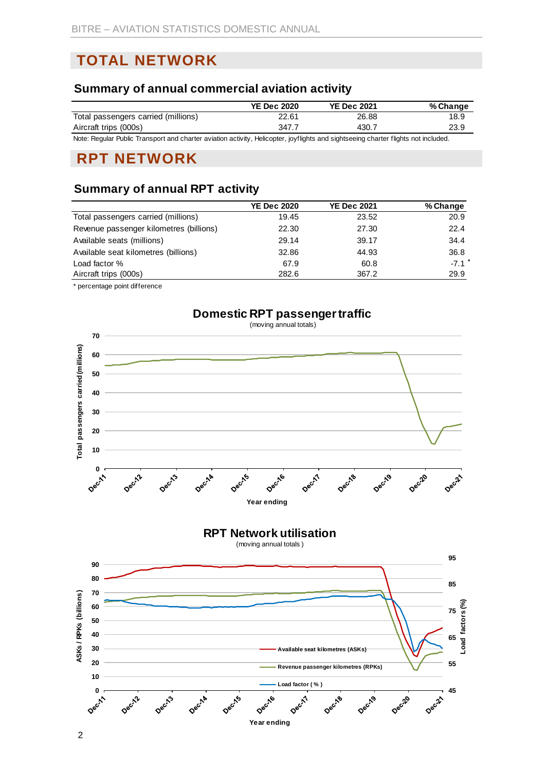## **TOTAL NETWORK**

## **Summary of annual commercial aviation activity**

|                                                                                                                 | <b>YE Dec 2020</b> | <b>YE Dec 2021</b> | % Change |  |
|-----------------------------------------------------------------------------------------------------------------|--------------------|--------------------|----------|--|
| Total passengers carried (millions)                                                                             | 22.61              | 26.88              | 18.9     |  |
| Aircraft trips (000s)                                                                                           | 347.7              | 430.7              | 23.9     |  |
| we have a set of the state of the state of the state of the state of the state of the state of the state of the |                    |                    |          |  |

Note: Regular Public Transport and charter aviation activity, Helicopter, joyflights and sightseeing charter flights not included.

## **RPT NETWORK**

### **Summary of annual RPT activity**

|                                         | <b>YE Dec 2020</b> | <b>YE Dec 2021</b> | % Change |
|-----------------------------------------|--------------------|--------------------|----------|
| Total passengers carried (millions)     | 19.45              | 23.52              | 20.9     |
| Revenue passenger kilometres (billions) | 22.30              | 27.30              | 22.4     |
| Available seats (millions)              | 29.14              | 39.17              | 34.4     |
| Available seat kilometres (billions)    | 32.86              | 44.93              | 36.8     |
| Load factor %                           | 67.9               | 60.8               | $-7.1$   |
| Aircraft trips (000s)                   | 282.6              | 367.2              | 29.9     |

\* percentage point difference



#### 2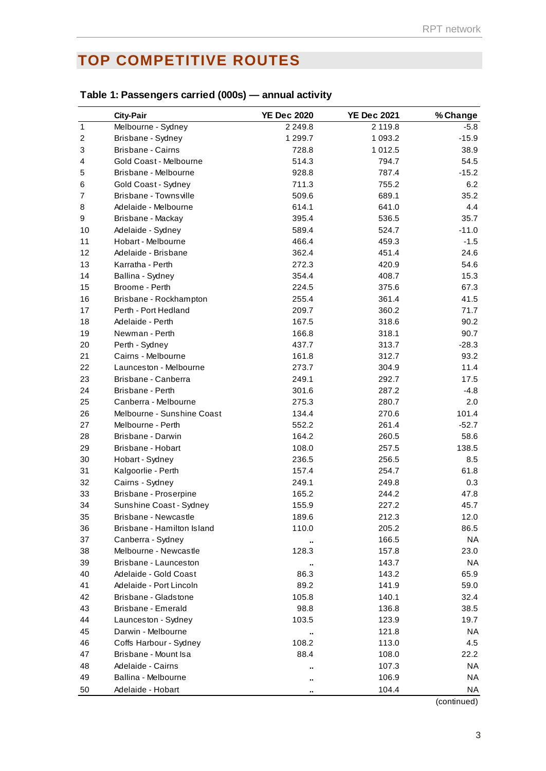## **TOP COMPETITIVE ROUTES**

| $\mathbf{1}$<br>Melbourne - Sydney<br>2 2 4 9 .8<br>2 1 1 9 .8<br>$-5.8$<br>$\overline{\mathbf{c}}$<br>Brisbane - Sydney<br>1 299.7<br>1 0 9 3.2<br>$-15.9$<br>3<br>38.9<br><b>Brisbane - Cairns</b><br>728.8<br>1 0 1 2.5<br>54.5<br>4<br>Gold Coast - Melbourne<br>514.3<br>794.7<br>5<br>Brisbane - Melbourne<br>928.8<br>787.4<br>$-15.2$<br>6<br>6.2<br>Gold Coast - Sydney<br>711.3<br>755.2<br>$\overline{7}$<br>35.2<br>Brisbane - Townsville<br>509.6<br>689.1<br>8<br>Adelaide - Melbourne<br>614.1<br>641.0<br>4.4<br>9<br>35.7<br>Brisbane - Mackay<br>395.4<br>536.5<br>$-11.0$<br>10<br>Adelaide - Sydney<br>589.4<br>524.7<br>11<br>Hobart - Melbourne<br>466.4<br>459.3<br>$-1.5$<br>12<br>Adelaide - Brisbane<br>362.4<br>451.4<br>24.6<br>13<br>54.6<br>Karratha - Perth<br>272.3<br>420.9<br>14<br>Ballina - Sydney<br>354.4<br>408.7<br>15.3<br>15<br>Broome - Perth<br>67.3<br>224.5<br>375.6<br>41.5<br>16<br>Brisbane - Rockhampton<br>255.4<br>361.4<br>71.7<br>17<br>Perth - Port Hedland<br>209.7<br>360.2<br>90.2<br>18<br>Adelaide - Perth<br>167.5<br>318.6<br>19<br>Newman - Perth<br>166.8<br>318.1<br>90.7<br>20<br>Perth - Sydney<br>437.7<br>313.7<br>$-28.3$<br>93.2<br>21<br>Cairns - Melbourne<br>161.8<br>312.7<br>22<br>11.4<br>Launceston - Melbourne<br>273.7<br>304.9<br>23<br>Brisbane - Canberra<br>249.1<br>292.7<br>17.5<br>24<br>Brisbane - Perth<br>301.6<br>287.2<br>$-4.8$<br>25<br>Canberra - Melbourne<br>275.3<br>280.7<br>2.0<br>101.4<br>26<br>Melbourne - Sunshine Coast<br>134.4<br>270.6<br>27<br>$-52.7$<br>Melbourne - Perth<br>552.2<br>261.4<br>58.6<br>28<br>164.2<br>260.5<br>Brisbane - Darwin<br>29<br>138.5<br>Brisbane - Hobart<br>108.0<br>257.5<br>30<br>Hobart - Sydney<br>236.5<br>8.5<br>256.5<br>31<br>Kalgoorlie - Perth<br>157.4<br>254.7<br>61.8<br>32<br>Cairns - Sydney<br>249.1<br>249.8<br>0.3<br>33<br>Brisbane - Proserpine<br>165.2<br>244.2<br>47.8<br>34<br>Sunshine Coast - Sydney<br>155.9<br>227.2<br>45.7<br>189.6<br>212.3<br>35<br>12.0<br>Brisbane - Newcastle<br>86.5<br>36<br>Brisbane - Hamilton Island<br>110.0<br>205.2<br>37<br>Canberra - Sydney<br>166.5<br>NA<br>38<br>Melbourne - Newcastle<br>128.3<br>157.8<br>23.0<br>39<br>Brisbane - Launceston<br>143.7<br>NA<br>н,<br>40<br>86.3<br>Adelaide - Gold Coast<br>143.2<br>65.9<br>41<br>89.2<br>Adelaide - Port Lincoln<br>141.9<br>59.0<br>42<br>Brisbane - Gladstone<br>105.8<br>32.4<br>140.1<br>43<br>Brisbane - Emerald<br>98.8<br>38.5<br>136.8<br>44<br>Launceston - Sydney<br>103.5<br>123.9<br>19.7<br>45<br>Darwin - Melbourne<br>121.8<br>NA.<br>46<br>Coffs Harbour - Sydney<br>108.2<br>113.0<br>4.5<br>47<br>88.4<br>Brisbane - Mount Isa<br>108.0<br>22.2<br>48<br>Adelaide - Cairns<br>107.3<br>NA<br>49<br>Ballina - Melbourne<br>106.9<br>NА<br>50<br>Adelaide - Hobart<br>104.4<br>NA | <b>City-Pair</b> | <b>YE Dec 2020</b> | <b>YE Dec 2021</b> | % Change |
|--------------------------------------------------------------------------------------------------------------------------------------------------------------------------------------------------------------------------------------------------------------------------------------------------------------------------------------------------------------------------------------------------------------------------------------------------------------------------------------------------------------------------------------------------------------------------------------------------------------------------------------------------------------------------------------------------------------------------------------------------------------------------------------------------------------------------------------------------------------------------------------------------------------------------------------------------------------------------------------------------------------------------------------------------------------------------------------------------------------------------------------------------------------------------------------------------------------------------------------------------------------------------------------------------------------------------------------------------------------------------------------------------------------------------------------------------------------------------------------------------------------------------------------------------------------------------------------------------------------------------------------------------------------------------------------------------------------------------------------------------------------------------------------------------------------------------------------------------------------------------------------------------------------------------------------------------------------------------------------------------------------------------------------------------------------------------------------------------------------------------------------------------------------------------------------------------------------------------------------------------------------------------------------------------------------------------------------------------------------------------------------------------------------------------------------------------------------------------------------------------------------------------------------------------------------------------------------------------------------------------------------------------------------------------------------------------------------------------------------------------------------------------------------------------------------------------------------------------------------------|------------------|--------------------|--------------------|----------|
|                                                                                                                                                                                                                                                                                                                                                                                                                                                                                                                                                                                                                                                                                                                                                                                                                                                                                                                                                                                                                                                                                                                                                                                                                                                                                                                                                                                                                                                                                                                                                                                                                                                                                                                                                                                                                                                                                                                                                                                                                                                                                                                                                                                                                                                                                                                                                                                                                                                                                                                                                                                                                                                                                                                                                                                                                                                                    |                  |                    |                    |          |
|                                                                                                                                                                                                                                                                                                                                                                                                                                                                                                                                                                                                                                                                                                                                                                                                                                                                                                                                                                                                                                                                                                                                                                                                                                                                                                                                                                                                                                                                                                                                                                                                                                                                                                                                                                                                                                                                                                                                                                                                                                                                                                                                                                                                                                                                                                                                                                                                                                                                                                                                                                                                                                                                                                                                                                                                                                                                    |                  |                    |                    |          |
|                                                                                                                                                                                                                                                                                                                                                                                                                                                                                                                                                                                                                                                                                                                                                                                                                                                                                                                                                                                                                                                                                                                                                                                                                                                                                                                                                                                                                                                                                                                                                                                                                                                                                                                                                                                                                                                                                                                                                                                                                                                                                                                                                                                                                                                                                                                                                                                                                                                                                                                                                                                                                                                                                                                                                                                                                                                                    |                  |                    |                    |          |
|                                                                                                                                                                                                                                                                                                                                                                                                                                                                                                                                                                                                                                                                                                                                                                                                                                                                                                                                                                                                                                                                                                                                                                                                                                                                                                                                                                                                                                                                                                                                                                                                                                                                                                                                                                                                                                                                                                                                                                                                                                                                                                                                                                                                                                                                                                                                                                                                                                                                                                                                                                                                                                                                                                                                                                                                                                                                    |                  |                    |                    |          |
|                                                                                                                                                                                                                                                                                                                                                                                                                                                                                                                                                                                                                                                                                                                                                                                                                                                                                                                                                                                                                                                                                                                                                                                                                                                                                                                                                                                                                                                                                                                                                                                                                                                                                                                                                                                                                                                                                                                                                                                                                                                                                                                                                                                                                                                                                                                                                                                                                                                                                                                                                                                                                                                                                                                                                                                                                                                                    |                  |                    |                    |          |
|                                                                                                                                                                                                                                                                                                                                                                                                                                                                                                                                                                                                                                                                                                                                                                                                                                                                                                                                                                                                                                                                                                                                                                                                                                                                                                                                                                                                                                                                                                                                                                                                                                                                                                                                                                                                                                                                                                                                                                                                                                                                                                                                                                                                                                                                                                                                                                                                                                                                                                                                                                                                                                                                                                                                                                                                                                                                    |                  |                    |                    |          |
|                                                                                                                                                                                                                                                                                                                                                                                                                                                                                                                                                                                                                                                                                                                                                                                                                                                                                                                                                                                                                                                                                                                                                                                                                                                                                                                                                                                                                                                                                                                                                                                                                                                                                                                                                                                                                                                                                                                                                                                                                                                                                                                                                                                                                                                                                                                                                                                                                                                                                                                                                                                                                                                                                                                                                                                                                                                                    |                  |                    |                    |          |
|                                                                                                                                                                                                                                                                                                                                                                                                                                                                                                                                                                                                                                                                                                                                                                                                                                                                                                                                                                                                                                                                                                                                                                                                                                                                                                                                                                                                                                                                                                                                                                                                                                                                                                                                                                                                                                                                                                                                                                                                                                                                                                                                                                                                                                                                                                                                                                                                                                                                                                                                                                                                                                                                                                                                                                                                                                                                    |                  |                    |                    |          |
|                                                                                                                                                                                                                                                                                                                                                                                                                                                                                                                                                                                                                                                                                                                                                                                                                                                                                                                                                                                                                                                                                                                                                                                                                                                                                                                                                                                                                                                                                                                                                                                                                                                                                                                                                                                                                                                                                                                                                                                                                                                                                                                                                                                                                                                                                                                                                                                                                                                                                                                                                                                                                                                                                                                                                                                                                                                                    |                  |                    |                    |          |
|                                                                                                                                                                                                                                                                                                                                                                                                                                                                                                                                                                                                                                                                                                                                                                                                                                                                                                                                                                                                                                                                                                                                                                                                                                                                                                                                                                                                                                                                                                                                                                                                                                                                                                                                                                                                                                                                                                                                                                                                                                                                                                                                                                                                                                                                                                                                                                                                                                                                                                                                                                                                                                                                                                                                                                                                                                                                    |                  |                    |                    |          |
|                                                                                                                                                                                                                                                                                                                                                                                                                                                                                                                                                                                                                                                                                                                                                                                                                                                                                                                                                                                                                                                                                                                                                                                                                                                                                                                                                                                                                                                                                                                                                                                                                                                                                                                                                                                                                                                                                                                                                                                                                                                                                                                                                                                                                                                                                                                                                                                                                                                                                                                                                                                                                                                                                                                                                                                                                                                                    |                  |                    |                    |          |
|                                                                                                                                                                                                                                                                                                                                                                                                                                                                                                                                                                                                                                                                                                                                                                                                                                                                                                                                                                                                                                                                                                                                                                                                                                                                                                                                                                                                                                                                                                                                                                                                                                                                                                                                                                                                                                                                                                                                                                                                                                                                                                                                                                                                                                                                                                                                                                                                                                                                                                                                                                                                                                                                                                                                                                                                                                                                    |                  |                    |                    |          |
|                                                                                                                                                                                                                                                                                                                                                                                                                                                                                                                                                                                                                                                                                                                                                                                                                                                                                                                                                                                                                                                                                                                                                                                                                                                                                                                                                                                                                                                                                                                                                                                                                                                                                                                                                                                                                                                                                                                                                                                                                                                                                                                                                                                                                                                                                                                                                                                                                                                                                                                                                                                                                                                                                                                                                                                                                                                                    |                  |                    |                    |          |
|                                                                                                                                                                                                                                                                                                                                                                                                                                                                                                                                                                                                                                                                                                                                                                                                                                                                                                                                                                                                                                                                                                                                                                                                                                                                                                                                                                                                                                                                                                                                                                                                                                                                                                                                                                                                                                                                                                                                                                                                                                                                                                                                                                                                                                                                                                                                                                                                                                                                                                                                                                                                                                                                                                                                                                                                                                                                    |                  |                    |                    |          |
|                                                                                                                                                                                                                                                                                                                                                                                                                                                                                                                                                                                                                                                                                                                                                                                                                                                                                                                                                                                                                                                                                                                                                                                                                                                                                                                                                                                                                                                                                                                                                                                                                                                                                                                                                                                                                                                                                                                                                                                                                                                                                                                                                                                                                                                                                                                                                                                                                                                                                                                                                                                                                                                                                                                                                                                                                                                                    |                  |                    |                    |          |
|                                                                                                                                                                                                                                                                                                                                                                                                                                                                                                                                                                                                                                                                                                                                                                                                                                                                                                                                                                                                                                                                                                                                                                                                                                                                                                                                                                                                                                                                                                                                                                                                                                                                                                                                                                                                                                                                                                                                                                                                                                                                                                                                                                                                                                                                                                                                                                                                                                                                                                                                                                                                                                                                                                                                                                                                                                                                    |                  |                    |                    |          |
|                                                                                                                                                                                                                                                                                                                                                                                                                                                                                                                                                                                                                                                                                                                                                                                                                                                                                                                                                                                                                                                                                                                                                                                                                                                                                                                                                                                                                                                                                                                                                                                                                                                                                                                                                                                                                                                                                                                                                                                                                                                                                                                                                                                                                                                                                                                                                                                                                                                                                                                                                                                                                                                                                                                                                                                                                                                                    |                  |                    |                    |          |
|                                                                                                                                                                                                                                                                                                                                                                                                                                                                                                                                                                                                                                                                                                                                                                                                                                                                                                                                                                                                                                                                                                                                                                                                                                                                                                                                                                                                                                                                                                                                                                                                                                                                                                                                                                                                                                                                                                                                                                                                                                                                                                                                                                                                                                                                                                                                                                                                                                                                                                                                                                                                                                                                                                                                                                                                                                                                    |                  |                    |                    |          |
|                                                                                                                                                                                                                                                                                                                                                                                                                                                                                                                                                                                                                                                                                                                                                                                                                                                                                                                                                                                                                                                                                                                                                                                                                                                                                                                                                                                                                                                                                                                                                                                                                                                                                                                                                                                                                                                                                                                                                                                                                                                                                                                                                                                                                                                                                                                                                                                                                                                                                                                                                                                                                                                                                                                                                                                                                                                                    |                  |                    |                    |          |
|                                                                                                                                                                                                                                                                                                                                                                                                                                                                                                                                                                                                                                                                                                                                                                                                                                                                                                                                                                                                                                                                                                                                                                                                                                                                                                                                                                                                                                                                                                                                                                                                                                                                                                                                                                                                                                                                                                                                                                                                                                                                                                                                                                                                                                                                                                                                                                                                                                                                                                                                                                                                                                                                                                                                                                                                                                                                    |                  |                    |                    |          |
|                                                                                                                                                                                                                                                                                                                                                                                                                                                                                                                                                                                                                                                                                                                                                                                                                                                                                                                                                                                                                                                                                                                                                                                                                                                                                                                                                                                                                                                                                                                                                                                                                                                                                                                                                                                                                                                                                                                                                                                                                                                                                                                                                                                                                                                                                                                                                                                                                                                                                                                                                                                                                                                                                                                                                                                                                                                                    |                  |                    |                    |          |
|                                                                                                                                                                                                                                                                                                                                                                                                                                                                                                                                                                                                                                                                                                                                                                                                                                                                                                                                                                                                                                                                                                                                                                                                                                                                                                                                                                                                                                                                                                                                                                                                                                                                                                                                                                                                                                                                                                                                                                                                                                                                                                                                                                                                                                                                                                                                                                                                                                                                                                                                                                                                                                                                                                                                                                                                                                                                    |                  |                    |                    |          |
|                                                                                                                                                                                                                                                                                                                                                                                                                                                                                                                                                                                                                                                                                                                                                                                                                                                                                                                                                                                                                                                                                                                                                                                                                                                                                                                                                                                                                                                                                                                                                                                                                                                                                                                                                                                                                                                                                                                                                                                                                                                                                                                                                                                                                                                                                                                                                                                                                                                                                                                                                                                                                                                                                                                                                                                                                                                                    |                  |                    |                    |          |
|                                                                                                                                                                                                                                                                                                                                                                                                                                                                                                                                                                                                                                                                                                                                                                                                                                                                                                                                                                                                                                                                                                                                                                                                                                                                                                                                                                                                                                                                                                                                                                                                                                                                                                                                                                                                                                                                                                                                                                                                                                                                                                                                                                                                                                                                                                                                                                                                                                                                                                                                                                                                                                                                                                                                                                                                                                                                    |                  |                    |                    |          |
|                                                                                                                                                                                                                                                                                                                                                                                                                                                                                                                                                                                                                                                                                                                                                                                                                                                                                                                                                                                                                                                                                                                                                                                                                                                                                                                                                                                                                                                                                                                                                                                                                                                                                                                                                                                                                                                                                                                                                                                                                                                                                                                                                                                                                                                                                                                                                                                                                                                                                                                                                                                                                                                                                                                                                                                                                                                                    |                  |                    |                    |          |
|                                                                                                                                                                                                                                                                                                                                                                                                                                                                                                                                                                                                                                                                                                                                                                                                                                                                                                                                                                                                                                                                                                                                                                                                                                                                                                                                                                                                                                                                                                                                                                                                                                                                                                                                                                                                                                                                                                                                                                                                                                                                                                                                                                                                                                                                                                                                                                                                                                                                                                                                                                                                                                                                                                                                                                                                                                                                    |                  |                    |                    |          |
|                                                                                                                                                                                                                                                                                                                                                                                                                                                                                                                                                                                                                                                                                                                                                                                                                                                                                                                                                                                                                                                                                                                                                                                                                                                                                                                                                                                                                                                                                                                                                                                                                                                                                                                                                                                                                                                                                                                                                                                                                                                                                                                                                                                                                                                                                                                                                                                                                                                                                                                                                                                                                                                                                                                                                                                                                                                                    |                  |                    |                    |          |
|                                                                                                                                                                                                                                                                                                                                                                                                                                                                                                                                                                                                                                                                                                                                                                                                                                                                                                                                                                                                                                                                                                                                                                                                                                                                                                                                                                                                                                                                                                                                                                                                                                                                                                                                                                                                                                                                                                                                                                                                                                                                                                                                                                                                                                                                                                                                                                                                                                                                                                                                                                                                                                                                                                                                                                                                                                                                    |                  |                    |                    |          |
|                                                                                                                                                                                                                                                                                                                                                                                                                                                                                                                                                                                                                                                                                                                                                                                                                                                                                                                                                                                                                                                                                                                                                                                                                                                                                                                                                                                                                                                                                                                                                                                                                                                                                                                                                                                                                                                                                                                                                                                                                                                                                                                                                                                                                                                                                                                                                                                                                                                                                                                                                                                                                                                                                                                                                                                                                                                                    |                  |                    |                    |          |
|                                                                                                                                                                                                                                                                                                                                                                                                                                                                                                                                                                                                                                                                                                                                                                                                                                                                                                                                                                                                                                                                                                                                                                                                                                                                                                                                                                                                                                                                                                                                                                                                                                                                                                                                                                                                                                                                                                                                                                                                                                                                                                                                                                                                                                                                                                                                                                                                                                                                                                                                                                                                                                                                                                                                                                                                                                                                    |                  |                    |                    |          |
|                                                                                                                                                                                                                                                                                                                                                                                                                                                                                                                                                                                                                                                                                                                                                                                                                                                                                                                                                                                                                                                                                                                                                                                                                                                                                                                                                                                                                                                                                                                                                                                                                                                                                                                                                                                                                                                                                                                                                                                                                                                                                                                                                                                                                                                                                                                                                                                                                                                                                                                                                                                                                                                                                                                                                                                                                                                                    |                  |                    |                    |          |
|                                                                                                                                                                                                                                                                                                                                                                                                                                                                                                                                                                                                                                                                                                                                                                                                                                                                                                                                                                                                                                                                                                                                                                                                                                                                                                                                                                                                                                                                                                                                                                                                                                                                                                                                                                                                                                                                                                                                                                                                                                                                                                                                                                                                                                                                                                                                                                                                                                                                                                                                                                                                                                                                                                                                                                                                                                                                    |                  |                    |                    |          |
|                                                                                                                                                                                                                                                                                                                                                                                                                                                                                                                                                                                                                                                                                                                                                                                                                                                                                                                                                                                                                                                                                                                                                                                                                                                                                                                                                                                                                                                                                                                                                                                                                                                                                                                                                                                                                                                                                                                                                                                                                                                                                                                                                                                                                                                                                                                                                                                                                                                                                                                                                                                                                                                                                                                                                                                                                                                                    |                  |                    |                    |          |
|                                                                                                                                                                                                                                                                                                                                                                                                                                                                                                                                                                                                                                                                                                                                                                                                                                                                                                                                                                                                                                                                                                                                                                                                                                                                                                                                                                                                                                                                                                                                                                                                                                                                                                                                                                                                                                                                                                                                                                                                                                                                                                                                                                                                                                                                                                                                                                                                                                                                                                                                                                                                                                                                                                                                                                                                                                                                    |                  |                    |                    |          |
|                                                                                                                                                                                                                                                                                                                                                                                                                                                                                                                                                                                                                                                                                                                                                                                                                                                                                                                                                                                                                                                                                                                                                                                                                                                                                                                                                                                                                                                                                                                                                                                                                                                                                                                                                                                                                                                                                                                                                                                                                                                                                                                                                                                                                                                                                                                                                                                                                                                                                                                                                                                                                                                                                                                                                                                                                                                                    |                  |                    |                    |          |
|                                                                                                                                                                                                                                                                                                                                                                                                                                                                                                                                                                                                                                                                                                                                                                                                                                                                                                                                                                                                                                                                                                                                                                                                                                                                                                                                                                                                                                                                                                                                                                                                                                                                                                                                                                                                                                                                                                                                                                                                                                                                                                                                                                                                                                                                                                                                                                                                                                                                                                                                                                                                                                                                                                                                                                                                                                                                    |                  |                    |                    |          |
|                                                                                                                                                                                                                                                                                                                                                                                                                                                                                                                                                                                                                                                                                                                                                                                                                                                                                                                                                                                                                                                                                                                                                                                                                                                                                                                                                                                                                                                                                                                                                                                                                                                                                                                                                                                                                                                                                                                                                                                                                                                                                                                                                                                                                                                                                                                                                                                                                                                                                                                                                                                                                                                                                                                                                                                                                                                                    |                  |                    |                    |          |
|                                                                                                                                                                                                                                                                                                                                                                                                                                                                                                                                                                                                                                                                                                                                                                                                                                                                                                                                                                                                                                                                                                                                                                                                                                                                                                                                                                                                                                                                                                                                                                                                                                                                                                                                                                                                                                                                                                                                                                                                                                                                                                                                                                                                                                                                                                                                                                                                                                                                                                                                                                                                                                                                                                                                                                                                                                                                    |                  |                    |                    |          |
|                                                                                                                                                                                                                                                                                                                                                                                                                                                                                                                                                                                                                                                                                                                                                                                                                                                                                                                                                                                                                                                                                                                                                                                                                                                                                                                                                                                                                                                                                                                                                                                                                                                                                                                                                                                                                                                                                                                                                                                                                                                                                                                                                                                                                                                                                                                                                                                                                                                                                                                                                                                                                                                                                                                                                                                                                                                                    |                  |                    |                    |          |
|                                                                                                                                                                                                                                                                                                                                                                                                                                                                                                                                                                                                                                                                                                                                                                                                                                                                                                                                                                                                                                                                                                                                                                                                                                                                                                                                                                                                                                                                                                                                                                                                                                                                                                                                                                                                                                                                                                                                                                                                                                                                                                                                                                                                                                                                                                                                                                                                                                                                                                                                                                                                                                                                                                                                                                                                                                                                    |                  |                    |                    |          |
|                                                                                                                                                                                                                                                                                                                                                                                                                                                                                                                                                                                                                                                                                                                                                                                                                                                                                                                                                                                                                                                                                                                                                                                                                                                                                                                                                                                                                                                                                                                                                                                                                                                                                                                                                                                                                                                                                                                                                                                                                                                                                                                                                                                                                                                                                                                                                                                                                                                                                                                                                                                                                                                                                                                                                                                                                                                                    |                  |                    |                    |          |
|                                                                                                                                                                                                                                                                                                                                                                                                                                                                                                                                                                                                                                                                                                                                                                                                                                                                                                                                                                                                                                                                                                                                                                                                                                                                                                                                                                                                                                                                                                                                                                                                                                                                                                                                                                                                                                                                                                                                                                                                                                                                                                                                                                                                                                                                                                                                                                                                                                                                                                                                                                                                                                                                                                                                                                                                                                                                    |                  |                    |                    |          |
|                                                                                                                                                                                                                                                                                                                                                                                                                                                                                                                                                                                                                                                                                                                                                                                                                                                                                                                                                                                                                                                                                                                                                                                                                                                                                                                                                                                                                                                                                                                                                                                                                                                                                                                                                                                                                                                                                                                                                                                                                                                                                                                                                                                                                                                                                                                                                                                                                                                                                                                                                                                                                                                                                                                                                                                                                                                                    |                  |                    |                    |          |
|                                                                                                                                                                                                                                                                                                                                                                                                                                                                                                                                                                                                                                                                                                                                                                                                                                                                                                                                                                                                                                                                                                                                                                                                                                                                                                                                                                                                                                                                                                                                                                                                                                                                                                                                                                                                                                                                                                                                                                                                                                                                                                                                                                                                                                                                                                                                                                                                                                                                                                                                                                                                                                                                                                                                                                                                                                                                    |                  |                    |                    |          |
|                                                                                                                                                                                                                                                                                                                                                                                                                                                                                                                                                                                                                                                                                                                                                                                                                                                                                                                                                                                                                                                                                                                                                                                                                                                                                                                                                                                                                                                                                                                                                                                                                                                                                                                                                                                                                                                                                                                                                                                                                                                                                                                                                                                                                                                                                                                                                                                                                                                                                                                                                                                                                                                                                                                                                                                                                                                                    |                  |                    |                    |          |
|                                                                                                                                                                                                                                                                                                                                                                                                                                                                                                                                                                                                                                                                                                                                                                                                                                                                                                                                                                                                                                                                                                                                                                                                                                                                                                                                                                                                                                                                                                                                                                                                                                                                                                                                                                                                                                                                                                                                                                                                                                                                                                                                                                                                                                                                                                                                                                                                                                                                                                                                                                                                                                                                                                                                                                                                                                                                    |                  |                    |                    |          |
|                                                                                                                                                                                                                                                                                                                                                                                                                                                                                                                                                                                                                                                                                                                                                                                                                                                                                                                                                                                                                                                                                                                                                                                                                                                                                                                                                                                                                                                                                                                                                                                                                                                                                                                                                                                                                                                                                                                                                                                                                                                                                                                                                                                                                                                                                                                                                                                                                                                                                                                                                                                                                                                                                                                                                                                                                                                                    |                  |                    |                    |          |
|                                                                                                                                                                                                                                                                                                                                                                                                                                                                                                                                                                                                                                                                                                                                                                                                                                                                                                                                                                                                                                                                                                                                                                                                                                                                                                                                                                                                                                                                                                                                                                                                                                                                                                                                                                                                                                                                                                                                                                                                                                                                                                                                                                                                                                                                                                                                                                                                                                                                                                                                                                                                                                                                                                                                                                                                                                                                    |                  |                    |                    |          |
|                                                                                                                                                                                                                                                                                                                                                                                                                                                                                                                                                                                                                                                                                                                                                                                                                                                                                                                                                                                                                                                                                                                                                                                                                                                                                                                                                                                                                                                                                                                                                                                                                                                                                                                                                                                                                                                                                                                                                                                                                                                                                                                                                                                                                                                                                                                                                                                                                                                                                                                                                                                                                                                                                                                                                                                                                                                                    |                  |                    |                    |          |
|                                                                                                                                                                                                                                                                                                                                                                                                                                                                                                                                                                                                                                                                                                                                                                                                                                                                                                                                                                                                                                                                                                                                                                                                                                                                                                                                                                                                                                                                                                                                                                                                                                                                                                                                                                                                                                                                                                                                                                                                                                                                                                                                                                                                                                                                                                                                                                                                                                                                                                                                                                                                                                                                                                                                                                                                                                                                    |                  |                    |                    |          |

(continued)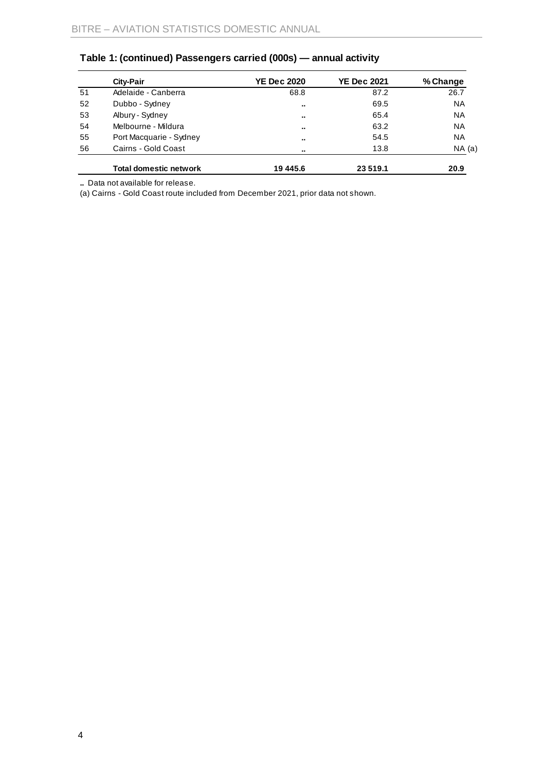|    | <b>City-Pair</b>              | <b>YE Dec 2020</b> | <b>YE Dec 2021</b> | % Change  |
|----|-------------------------------|--------------------|--------------------|-----------|
| 51 | Adelaide - Canberra           | 68.8               | 87.2               | 26.7      |
| 52 | Dubbo - Sydney                |                    | 69.5               | <b>NA</b> |
| 53 | Albury - Sydney               |                    | 65.4               | NA        |
| 54 | Melbourne - Mildura           |                    | 63.2               | NA        |
| 55 | Port Macquarie - Sydney       |                    | 54.5               | NA        |
| 56 | Cairns - Gold Coast           |                    | 13.8               | NA(a)     |
|    | <b>Total domestic network</b> | 19 445.6           | 23 519.1           | 20.9      |

### **Table 1: (continued) Passengers carried (000s) — annual activity**

**..** Data not available for release.

(a) Cairns - Gold Coast route included from December 2021, prior data not shown.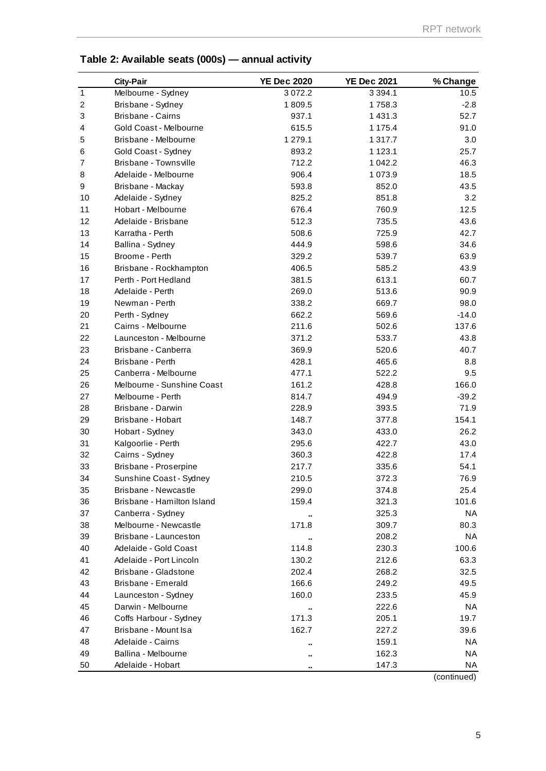|                | <b>City-Pair</b>           | <b>YE Dec 2020</b> | <b>YE Dec 2021</b> | % Change |
|----------------|----------------------------|--------------------|--------------------|----------|
| $\mathbf{1}$   | Melbourne - Sydney         | 3 0 7 2 . 2        | 3 3 9 4 . 1        | 10.5     |
| 2              | Brisbane - Sydney          | 1809.5             | 1758.3             | $-2.8$   |
| 3              | Brisbane - Cairns          | 937.1              | 1 4 3 1 . 3        | 52.7     |
| 4              | Gold Coast - Melbourne     | 615.5              | 1 175.4            | 91.0     |
| 5              | Brisbane - Melbourne       | 1 279.1            | 1 3 1 7 . 7        | 3.0      |
| 6              | Gold Coast - Sydney        | 893.2              | 1 1 2 3 . 1        | 25.7     |
| $\overline{7}$ | Brisbane - Townsville      | 712.2              | 1 0 4 2.2          | 46.3     |
| 8              | Adelaide - Melbourne       | 906.4              | 1073.9             | 18.5     |
| 9              | Brisbane - Mackay          | 593.8              | 852.0              | 43.5     |
| 10             | Adelaide - Sydney          | 825.2              | 851.8              | 3.2      |
| 11             | Hobart - Melbourne         | 676.4              | 760.9              | 12.5     |
| 12             | Adelaide - Brisbane        | 512.3              | 735.5              | 43.6     |
| 13             | Karratha - Perth           | 508.6              | 725.9              | 42.7     |
| 14             | Ballina - Sydney           | 444.9              | 598.6              | 34.6     |
| 15             | Broome - Perth             | 329.2              | 539.7              | 63.9     |
| 16             | Brisbane - Rockhampton     | 406.5              | 585.2              | 43.9     |
| 17             | Perth - Port Hedland       | 381.5              | 613.1              | 60.7     |
| 18             | Adelaide - Perth           | 269.0              | 513.6              | 90.9     |
| 19             | Newman - Perth             | 338.2              | 669.7              | 98.0     |
| 20             | Perth - Sydney             | 662.2              | 569.6              | $-14.0$  |
| 21             | Cairns - Melbourne         | 211.6              | 502.6              | 137.6    |
| 22             | Launceston - Melbourne     | 371.2              | 533.7              | 43.8     |
| 23             | Brisbane - Canberra        | 369.9              | 520.6              | 40.7     |
| 24             | Brisbane - Perth           | 428.1              | 465.6              | 8.8      |
| 25             | Canberra - Melbourne       | 477.1              | 522.2              | 9.5      |
| 26             | Melbourne - Sunshine Coast | 161.2              | 428.8              | 166.0    |
| 27             | Melbourne - Perth          | 814.7              | 494.9              | $-39.2$  |
| 28             | Brisbane - Darwin          | 228.9              | 393.5              | 71.9     |
| 29             | Brisbane - Hobart          | 148.7              | 377.8              | 154.1    |
| 30             | Hobart - Sydney            | 343.0              | 433.0              | 26.2     |
| 31             | Kalgoorlie - Perth         | 295.6              | 422.7              | 43.0     |
| 32             | Cairns - Sydney            | 360.3              | 422.8              | 17.4     |
| 33             | Brisbane - Proserpine      | 217.7              | 335.6              | 54.1     |
| 34             | Sunshine Coast - Sydney    | 210.5              | 372.3              | 76.9     |
| 35             | Brisbane - Newcastle       | 299.0              | 374.8              | 25.4     |
| 36             | Brisbane - Hamilton Island | 159.4              | 321.3              | 101.6    |
| 37             | Canberra - Sydney          |                    | 325.3              | ΝA       |
| 38             | Melbourne - Newcastle      | 171.8              | 309.7              | 80.3     |
| 39             | Brisbane - Launceston      |                    | 208.2              | ΝA       |
| 40             | Adelaide - Gold Coast      | 114.8              | 230.3              | 100.6    |
| 41             | Adelaide - Port Lincoln    | 130.2              | 212.6              | 63.3     |
| 42             | Brisbane - Gladstone       | 202.4              | 268.2              | 32.5     |
| 43             | Brisbane - Emerald         | 166.6              | 249.2              | 49.5     |
| 44             | Launceston - Sydney        | 160.0              | 233.5              | 45.9     |
| 45             | Darwin - Melbourne         |                    | 222.6              | ΝA       |
| 46             | Coffs Harbour - Sydney     | 171.3              | 205.1              | 19.7     |
| 47             | Brisbane - Mount Isa       | 162.7              | 227.2              | 39.6     |
| 48             | Adelaide - Cairns          |                    | 159.1              | ΝA       |
| 49             | Ballina - Melbourne        |                    | 162.3              | ΝA       |
| 50             | Adelaide - Hobart          |                    | 147.3              | NA.      |
|                |                            |                    |                    |          |

## **Table 2: Available seats (000s) — annual activity**

(continued)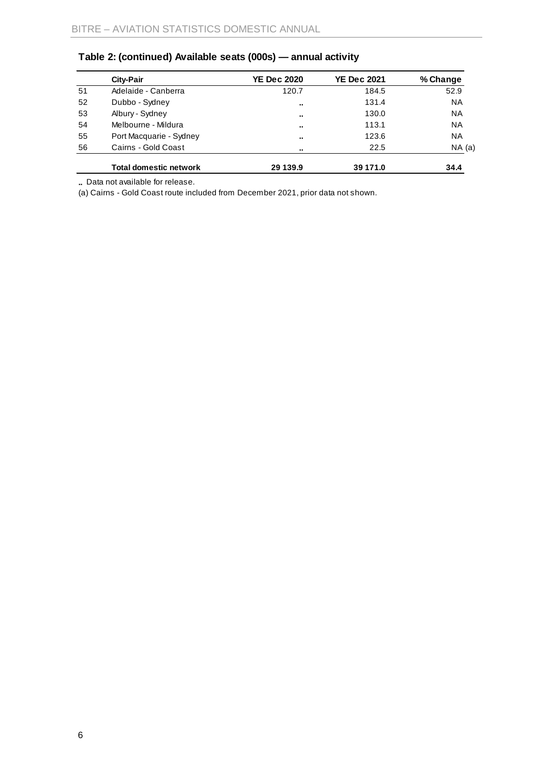|    | <b>City-Pair</b>              | <b>YE Dec 2020</b> | <b>YE Dec 2021</b> | % Change  |
|----|-------------------------------|--------------------|--------------------|-----------|
| 51 | Adelaide - Canberra           | 120.7              | 184.5              | 52.9      |
| 52 | Dubbo - Sydney                |                    | 131.4              | <b>NA</b> |
| 53 | Albury - Sydney               |                    | 130.0              | <b>NA</b> |
| 54 | Melbourne - Mildura           |                    | 113.1              | <b>NA</b> |
| 55 | Port Macquarie - Sydney       |                    | 123.6              | ΝA        |
| 56 | Cairns - Gold Coast           |                    | 22.5               | NA(a)     |
|    | <b>Total domestic network</b> | 29 139.9           | 39 171.0           | 34.4      |

### **Table 2: (continued) Available seats (000s) — annual activity**

**..** Data not available for release.

(a) Cairns - Gold Coast route included from December 2021, prior data not shown.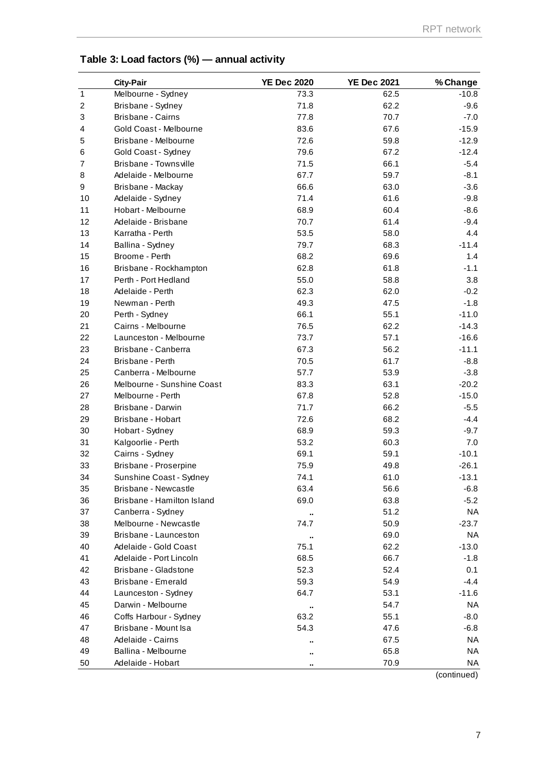|                | <b>City-Pair</b>           | <b>YE Dec 2020</b> | <b>YE Dec 2021</b> | % Change |
|----------------|----------------------------|--------------------|--------------------|----------|
| $\mathbf{1}$   | Melbourne - Sydney         | 73.3               | 62.5               | $-10.8$  |
| $\overline{c}$ | Brisbane - Sydney          | 71.8               | 62.2               | $-9.6$   |
| 3              | <b>Brisbane - Cairns</b>   | 77.8               | 70.7               | $-7.0$   |
| $\overline{4}$ | Gold Coast - Melbourne     | 83.6               | 67.6               | $-15.9$  |
| 5              | Brisbane - Melbourne       | 72.6               | 59.8               | $-12.9$  |
| 6              | Gold Coast - Sydney        | 79.6               | 67.2               | $-12.4$  |
| $\overline{7}$ | Brisbane - Townsville      | 71.5               | 66.1               | $-5.4$   |
| 8              | Adelaide - Melbourne       | 67.7               | 59.7               | $-8.1$   |
| 9              | Brisbane - Mackay          | 66.6               | 63.0               | $-3.6$   |
| 10             | Adelaide - Sydney          | 71.4               | 61.6               | $-9.8$   |
| 11             | Hobart - Melbourne         | 68.9               | 60.4               | $-8.6$   |
| 12             | Adelaide - Brisbane        | 70.7               | 61.4               | $-9.4$   |
| 13             | Karratha - Perth           | 53.5               | 58.0               | 4.4      |
| 14             | Ballina - Sydney           | 79.7               | 68.3               | $-11.4$  |
| 15             | Broome - Perth             | 68.2               | 69.6               | 1.4      |
| 16             | Brisbane - Rockhampton     | 62.8               | 61.8               | $-1.1$   |
| 17             | Perth - Port Hedland       | 55.0               | 58.8               | $3.8\,$  |
| 18             | Adelaide - Perth           | 62.3               | 62.0               | $-0.2$   |
| 19             | Newman - Perth             | 49.3               | 47.5               | $-1.8$   |
| 20             | Perth - Sydney             | 66.1               | 55.1               | $-11.0$  |
| 21             | Cairns - Melbourne         | 76.5               | 62.2               | $-14.3$  |
| 22             | Launceston - Melbourne     | 73.7               | 57.1               | $-16.6$  |
| 23             | Brisbane - Canberra        | 67.3               | 56.2               | $-11.1$  |
| 24             | Brisbane - Perth           | 70.5               | 61.7               | $-8.8$   |
| 25             | Canberra - Melbourne       | 57.7               | 53.9               | $-3.8$   |
| 26             | Melbourne - Sunshine Coast | 83.3               | 63.1               | $-20.2$  |
| 27             | Melbourne - Perth          | 67.8               | 52.8               | $-15.0$  |
| 28             | Brisbane - Darwin          | 71.7               | 66.2               | $-5.5$   |
| 29             | Brisbane - Hobart          | 72.6               | 68.2               | $-4.4$   |
| 30             | Hobart - Sydney            | 68.9               | 59.3               | $-9.7$   |
| 31             | Kalgoorlie - Perth         | 53.2               | 60.3               | 7.0      |
| 32             | Cairns - Sydney            | 69.1               | 59.1               | $-10.1$  |
| 33             | Brisbane - Proserpine      | 75.9               | 49.8               | $-26.1$  |
| 34             | Sunshine Coast - Sydney    | 74.1               | 61.0               | $-13.1$  |
| 35             | Brisbane - Newcastle       | 63.4               | 56.6               | $-6.8$   |
| 36             | Brisbane - Hamilton Island | 69.0               | 63.8               | $-5.2$   |
| 37             | Canberra - Sydney          | н,                 | 51.2               | NA       |
| 38             | Melbourne - Newcastle      | 74.7               | 50.9               | $-23.7$  |
| 39             | Brisbane - Launceston      |                    | 69.0               | NA       |
| 40             | Adelaide - Gold Coast      | 75.1               | 62.2               | $-13.0$  |
| 41             | Adelaide - Port Lincoln    | 68.5               | 66.7               | $-1.8$   |
| 42             | Brisbane - Gladstone       | 52.3               | 52.4               | 0.1      |
| 43             | Brisbane - Emerald         | 59.3               | 54.9               | $-4.4$   |
| 44             | Launceston - Sydney        | 64.7               | 53.1               | $-11.6$  |
| 45             | Darwin - Melbourne         |                    | 54.7               | NA       |
| 46             | Coffs Harbour - Sydney     | 63.2               | 55.1               | $-8.0$   |
| 47             | Brisbane - Mount Isa       | 54.3               | 47.6               | $-6.8$   |
| 48             | Adelaide - Cairns          |                    | 67.5               | NA       |
| 49             | Ballina - Melbourne        | ٠.                 | 65.8               | NA       |
| 50             | Adelaide - Hobart          | ٠.                 | 70.9               | NА       |
|                |                            |                    |                    |          |

## **Table 3: Load factors (%) — annual activity**

(continued)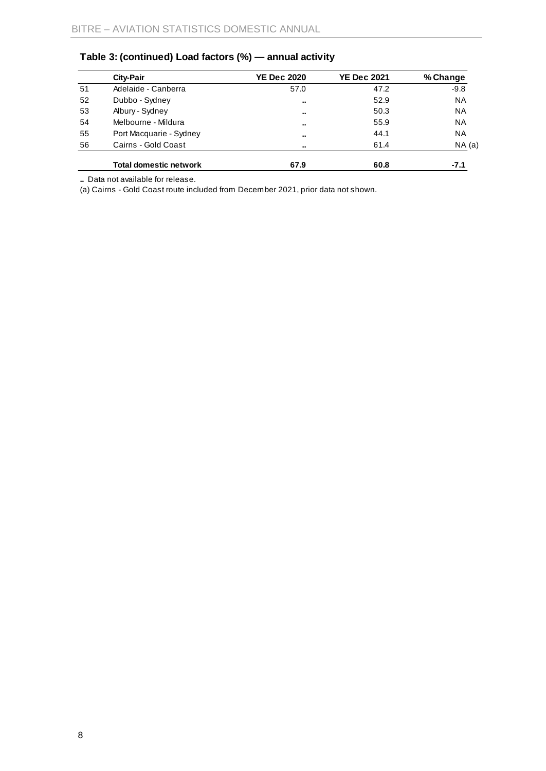|    | <b>City-Pair</b>        | <b>YE Dec 2020</b> | <b>YE Dec 2021</b> | % Change |
|----|-------------------------|--------------------|--------------------|----------|
| 51 | Adelaide - Canberra     | 57.0               | 47.2               | $-9.8$   |
| 52 | Dubbo - Sydney          |                    | 52.9               | NA       |
| 53 | Albury - Sydney         |                    | 50.3               | NA       |
| 54 | Melbourne - Mildura     |                    | 55.9               | NA       |
| 55 | Port Macquarie - Sydney |                    | 44.1               | NA       |
| 56 | Cairns - Gold Coast     |                    | 61.4               | NA(a)    |
|    | Total domestic network  | 67.9               | 60.8               | $-7.1$   |

### **Table 3: (continued) Load factors (%) — annual activity**

**..** Data not available for release.

(a) Cairns - Gold Coast route included from December 2021, prior data not shown.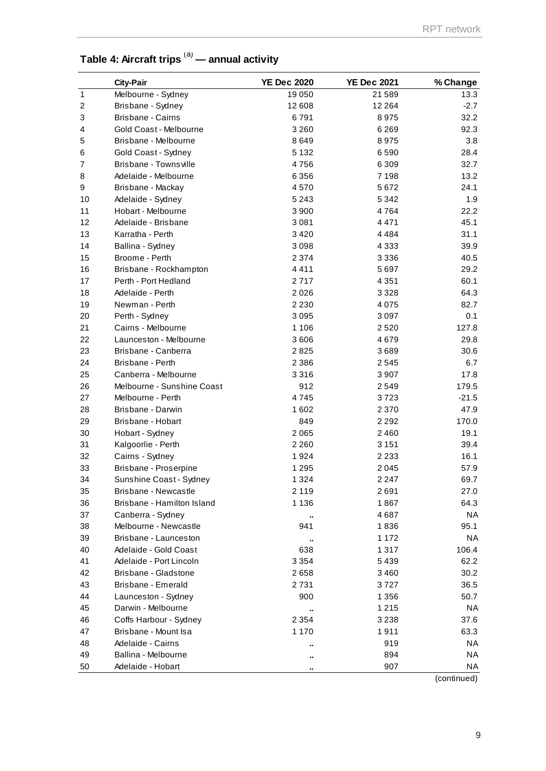|                         | <b>City-Pair</b>           | <b>YE Dec 2020</b> | <b>YE Dec 2021</b> | % Change  |
|-------------------------|----------------------------|--------------------|--------------------|-----------|
| $\mathbf{1}$            | Melbourne - Sydney         | 19 050             | 21 589             | 13.3      |
| $\overline{\mathbf{c}}$ | Brisbane - Sydney          | 12 608             | 12 2 64            | $-2.7$    |
| 3                       | <b>Brisbane - Cairns</b>   | 6791               | 8975               | 32.2      |
| 4                       | Gold Coast - Melbourne     | 3 2 6 0            | 6269               | 92.3      |
| 5                       | Brisbane - Melbourne       | 8649               | 8975               | 3.8       |
| 6                       | Gold Coast - Sydney        | 5 1 3 2            | 6590               | 28.4      |
| $\overline{7}$          | Brisbane - Townsville      | 4756               | 6309               | 32.7      |
| 8                       | Adelaide - Melbourne       | 6 3 5 6            | 7198               | 13.2      |
| 9                       | Brisbane - Mackay          | 4570               | 5672               | 24.1      |
| 10                      | Adelaide - Sydney          | 5 2 4 3            | 5342               | 1.9       |
| 11                      | Hobart - Melbourne         | 3 9 0 0            | 4764               | 22.2      |
| 12                      | Adelaide - Brisbane        | 3 0 8 1            | 4471               | 45.1      |
| 13                      | Karratha - Perth           | 3 4 2 0            | 4484               | 31.1      |
| 14                      | Ballina - Sydney           | 3 0 9 8            | 4 3 3 3            | 39.9      |
| 15                      | Broome - Perth             | 2 3 7 4            | 3 3 3 6            | 40.5      |
| 16                      | Brisbane - Rockhampton     | 4 4 1 1            | 5697               | 29.2      |
| 17                      | Perth - Port Hedland       | 2717               | 4 3 5 1            | 60.1      |
| 18                      | Adelaide - Perth           | 2026               | 3328               | 64.3      |
| 19                      | Newman - Perth             | 2 2 3 0            | 4075               | 82.7      |
| 20                      | Perth - Sydney             | 3 0 9 5            | 3097               | 0.1       |
| 21                      | Cairns - Melbourne         | 1 1 0 6            | 2520               | 127.8     |
| 22                      | Launceston - Melbourne     | 3606               | 4679               | 29.8      |
| 23                      | Brisbane - Canberra        | 2825               | 3689               | 30.6      |
| 24                      | Brisbane - Perth           | 2 3 8 6            | 2545               | 6.7       |
| 25                      | Canberra - Melbourne       | 3316               | 3907               | 17.8      |
| 26                      | Melbourne - Sunshine Coast | 912                | 2549               | 179.5     |
| 27                      | Melbourne - Perth          | 4745               | 3723               | $-21.5$   |
| 28                      | Brisbane - Darwin          | 1 602              | 2 3 7 0            | 47.9      |
| 29                      | Brisbane - Hobart          | 849                | 2 2 9 2            | 170.0     |
| 30                      | Hobart - Sydney            | 2 0 6 5            | 2460               | 19.1      |
| 31                      | Kalgoorlie - Perth         | 2 2 6 0            | 3 1 5 1            | 39.4      |
| 32                      | Cairns - Sydney            | 1924               | 2 2 3 3            | 16.1      |
| 33                      | Brisbane - Proserpine      | 1 2 9 5            | 2045               | 57.9      |
| 34                      | Sunshine Coast - Sydney    | 1 3 2 4            | 2 2 4 7            | 69.7      |
| 35                      | Brisbane - Newcastle       | 2 1 1 9            | 2691               | 27.0      |
| 36                      | Brisbane - Hamilton Island | 1 1 3 6            | 1867               | 64.3      |
| 37                      | Canberra - Sydney          |                    | 4687               | ΝA        |
| 38                      | Melbourne - Newcastle      | 941                | 1836               | 95.1      |
| 39                      | Brisbane - Launceston      |                    | 1 1 7 2            | ΝA        |
| 40                      | Adelaide - Gold Coast      | 638                | 1317               | 106.4     |
| 41                      | Adelaide - Port Lincoln    | 3 3 5 4            | 5439               | 62.2      |
| 42                      | Brisbane - Gladstone       | 2658               | 3460               | 30.2      |
| 43                      | Brisbane - Emerald         | 2731               | 3727               | 36.5      |
| 44                      | Launceston - Sydney        | 900                | 1 3 5 6            | 50.7      |
| 45                      | Darwin - Melbourne         |                    | 1215               | ΝA        |
| 46                      | Coffs Harbour - Sydney     | 2 3 5 4            | 3 2 3 8            | 37.6      |
| 47                      | Brisbane - Mount Isa       | 1 1 7 0            | 1911               | 63.3      |
| 48                      | Adelaide - Cairns          |                    | 919                | ΝA        |
| 49                      | Ballina - Melbourne        |                    | 894                | NA.       |
| 50                      | Adelaide - Hobart          |                    | 907                | <b>NA</b> |
|                         |                            |                    |                    | (continu) |

## **Table 4: Aircraft trips** (a) **— annual activity**

(continued)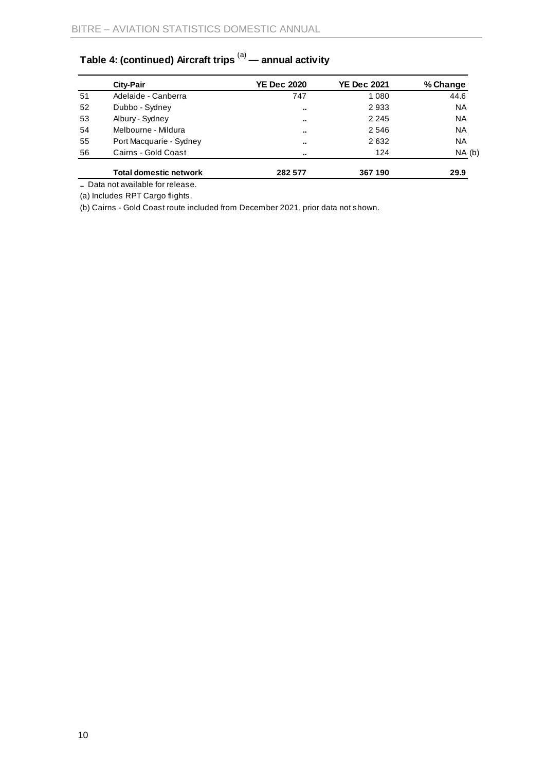|    | <b>City-Pair</b>              | <b>YE Dec 2020</b> | <b>YE Dec 2021</b> | % Change  |
|----|-------------------------------|--------------------|--------------------|-----------|
| 51 | Adelaide - Canberra           | 747                | 1 0 8 0            | 44.6      |
| 52 | Dubbo - Sydney                |                    | 2933               | <b>NA</b> |
| 53 | Albury - Sydney               |                    | 2 2 4 5            | <b>NA</b> |
| 54 | Melbourne - Mildura           |                    | 2546               | <b>NA</b> |
| 55 | Port Macquarie - Sydney       |                    | 2632               | <b>NA</b> |
| 56 | Cairns - Gold Coast           |                    | 124                | NA(b)     |
|    | <b>Total domestic network</b> | 282 577            | 367 190            | 29.9      |

## **Table 4: (continued) Aircraft trips** (a) **— annual activity**

**..** Data not available for release.

(a) Includes RPT Cargo flights.

(b) Cairns - Gold Coast route included from December 2021, prior data not shown.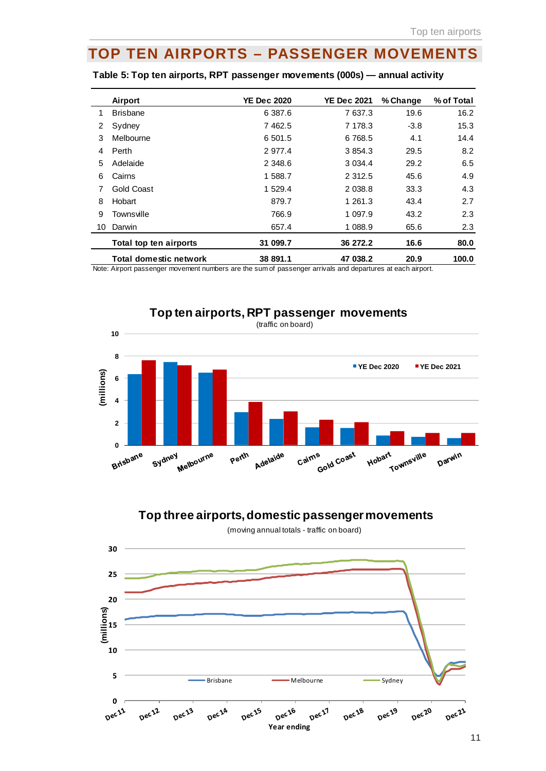## **TOP TEN AIRPORTS – PASSENGER MOVEMENTS**

|    | <b>Airport</b>                | <b>YE Dec 2020</b> | <b>YE Dec 2021</b> | % Change | % of Total |
|----|-------------------------------|--------------------|--------------------|----------|------------|
| 1  | <b>Brisbane</b>               | 6 387.6            | 7 637.3            | 19.6     | 16.2       |
| 2  | Sydney                        | 7 462.5            | 7 178.3            | $-3.8$   | 15.3       |
| 3  | Melbourne                     | 6 501.5            | 6 768.5            | 4.1      | 14.4       |
| 4  | Perth                         | 2 977.4            | 3 8 5 4 . 3        | 29.5     | 8.2        |
| 5  | Adelaide                      | 2 3 4 8 . 6        | 3 0 34.4           | 29.2     | 6.5        |
| 6  | Cairns                        | 1 588.7            | 2 3 1 2 .5         | 45.6     | 4.9        |
| 7  | Gold Coast                    | 1 529.4            | 2 0 38.8           | 33.3     | 4.3        |
| 8  | Hobart                        | 879.7              | 1 261.3            | 43.4     | 2.7        |
| 9  | Townsville                    | 766.9              | 1 0 9 7 . 9        | 43.2     | 2.3        |
| 10 | Darwin                        | 657.4              | 1 088.9            | 65.6     | 2.3        |
|    | Total top ten airports        | 31 099.7           | 36 272.2           | 16.6     | 80.0       |
|    | <b>Total domestic network</b> | 38 891.1           | 47 038.2           | 20.9     | 100.0      |

#### **Table 5: Top ten airports, RPT passenger movements (000s) — annual activity**

Note: Airport passenger movement numbers are the sum of passenger arrivals and departures at each airport.

#### **Top ten airports, RPT passenger movements**  (traffic on board)



**Top three airports, domestic passenger movements**

(moving annual totals - traffic on board)

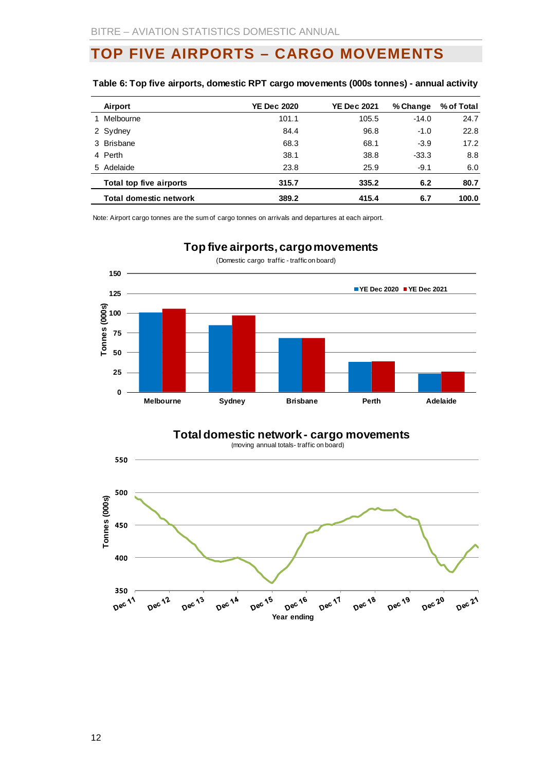## **TOP FIVE AIRPORTS – CARGO MOVEMENTS**

|   | Airport                       | <b>YE Dec 2020</b> | <b>YE Dec 2021</b> | % Change | % of Total |
|---|-------------------------------|--------------------|--------------------|----------|------------|
|   | Melbourne                     | 101.1              | 105.5              | $-14.0$  | 24.7       |
|   | 2 Sydney                      | 84.4               | 96.8               | $-1.0$   | 22.8       |
| 3 | <b>Brisbane</b>               | 68.3               | 68.1               | $-3.9$   | 17.2       |
|   | 4 Perth                       | 38.1               | 38.8               | $-33.3$  | 8.8        |
|   | 5 Adelaide                    | 23.8               | 25.9               | $-9.1$   | 6.0        |
|   | Total top five airports       | 315.7              | 335.2              | 6.2      | 80.7       |
|   | <b>Total domestic network</b> | 389.2              | 415.4              | 6.7      | 100.0      |

#### **Table 6: Top five airports, domestic RPT cargo movements (000s tonnes) - annual activity**

Note: Airport cargo tonnes are the sum of cargo tonnes on arrivals and departures at each airport.



### **Top five airports, cargo movements**

**Total domestic network - cargo movements** (moving annual totals- traffic on board)

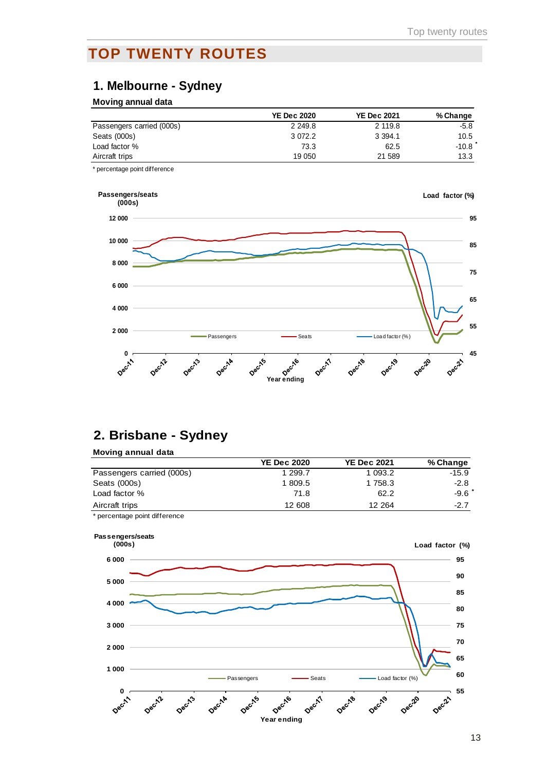## **TOP TWENTY ROUTES**

## **1. Melbourne - Sydney**

#### **Moving annual data**

|                           | <b>YE Dec 2020</b> | <b>YE Dec 2021</b> | % Change |
|---------------------------|--------------------|--------------------|----------|
| Passengers carried (000s) | 2 2 4 9 . 8        | 2 119.8            | $-5.8$   |
| Seats (000s)              | 3 0 7 2 . 2        | 3 3 9 4 1          | 10.5     |
| Load factor %             | 73.3               | 62.5               | $-10.8$  |
| Aircraft trips            | 19 050             | 21 589             | 13.3     |

\* percentage point difference



## **2. Brisbane - Sydney**

#### **Moving annual data**

|                           | <b>YE Dec 2020</b> | <b>YE Dec 2021</b> | % Change |
|---------------------------|--------------------|--------------------|----------|
| Passengers carried (000s) | 1 299.7            | 1 093.2            | $-15.9$  |
| Seats (000s)              | 1 809.5            | 1 758.3            | $-2.8$   |
| Load factor %             | 71.8               | 62.2               | $-9.6$   |
| Aircraft trips            | 12 608             | 12 2 64            | $-2.7$   |

\* percentage point difference

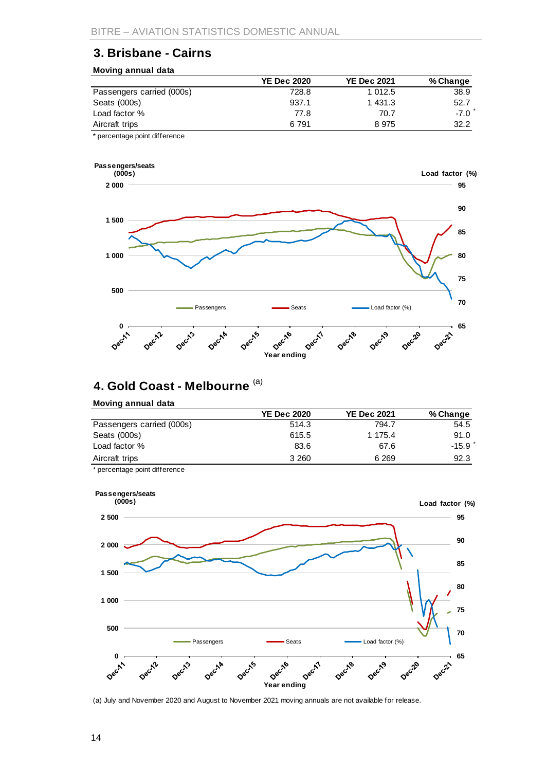### **3. Brisbane - Cairns**

#### **Moving annual data**

|                           | <b>YE Dec 2020</b> | <b>YE Dec 2021</b> | % Change |
|---------------------------|--------------------|--------------------|----------|
| Passengers carried (000s) | 728.8              | 1 0 1 2 .5         | 38.9     |
| Seats (000s)              | 937.1              | 1 431.3            | 52.7     |
| Load factor %             | 77.8               | 70.7               | $-7.0$   |
| Aircraft trips            | 6 791              | 8975               | 32.2     |

\* percentage point difference



## **4. Gold Coast - Melbourne** (a)

#### **Moving annual data**

|                           | <b>YE Dec 2020</b> | <b>YE Dec 2021</b> | % Change |
|---------------------------|--------------------|--------------------|----------|
| Passengers carried (000s) | 514.3              | 794.7              | 54.5     |
| Seats (000s)              | 615.5              | 1 175.4            | 91.0     |
| Load factor %             | 83.6               | 67.6               | $-15.9$  |
| Aircraft trips            | 3 2 6 0            | 6 2 6 9            | 92.3     |

\* percentage point difference



(a) July and November 2020 and August to November 2021 moving annuals are not available for release.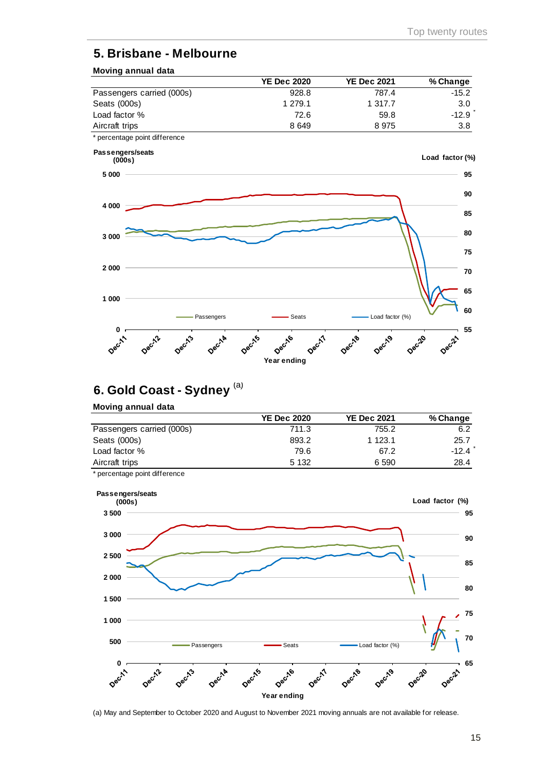### **5. Brisbane - Melbourne**

| Moving annual data        |                    |                    |          |  |
|---------------------------|--------------------|--------------------|----------|--|
|                           | <b>YE Dec 2020</b> | <b>YE Dec 2021</b> | % Change |  |
| Passengers carried (000s) | 928.8              | 787.4              | $-15.2$  |  |
| Seats (000s)              | 1 279.1            | 1 317.7            | 3.0      |  |
| Load factor %             | 72.6               | 59.8               | $-12.9$  |  |
| Aircraft trips            | 8 6 4 9            | 8975               | 3.8      |  |

\* percentage point difference



## **6. Gold Coast - Sydney** (a)

#### **Moving annual data**

|                                                                                                                 | <b>YE Dec 2020</b> | <b>YE Dec 2021</b> | % Change |
|-----------------------------------------------------------------------------------------------------------------|--------------------|--------------------|----------|
| Passengers carried (000s)                                                                                       | 711.3              | 755.2              | 6.2      |
| Seats (000s)                                                                                                    | 893.2              | 1 1 2 3 . 1        | 25.7     |
| Load factor %                                                                                                   | 79.6               | 67.2               | $-12.4$  |
| Aircraft trips                                                                                                  | 5 1 3 2            | 6 5 9 0            | 28.4     |
| the contract of the contract of the contract of the contract of the contract of the contract of the contract of |                    |                    |          |

\* percentage point difference



(a) May and September to October 2020 and August to November 2021 moving annuals are not available for release.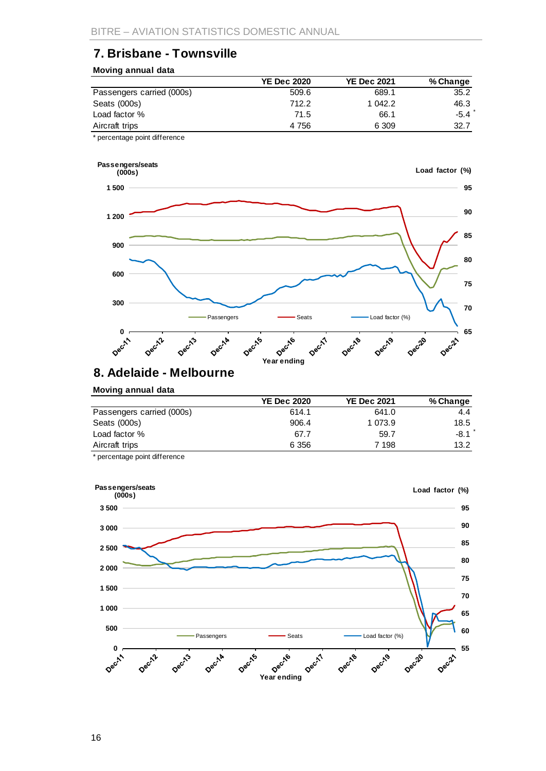### **7. Brisbane - Townsville**

### **Moving annual data**

|                           | <b>YE Dec 2020</b> | <b>YE Dec 2021</b> | % Change |
|---------------------------|--------------------|--------------------|----------|
| Passengers carried (000s) | 509.6              | 689.1              | 35.2     |
| Seats (000s)              | 712.2              | 1 042.2            | 46.3     |
| Load factor %             | 71.5               | 66.1               | $-5.4$   |
| Aircraft trips            | 4 756              | 6 309              | 32.7     |

\* percentage point difference



## **8. Adelaide - Melbourne**

#### **Moving annual data**

|                           | <b>YE Dec 2020</b> | <b>YE Dec 2021</b> | % Change |
|---------------------------|--------------------|--------------------|----------|
| Passengers carried (000s) | 614.1              | 641.0              | 4.4      |
| Seats (000s)              | 906.4              | 1 073.9            | 18.5     |
| Load factor %             | 67.7               | 59.7               | $-8.1$   |
| Aircraft trips            | 6 356              | 7 198              | 13.2     |

\* percentage point difference

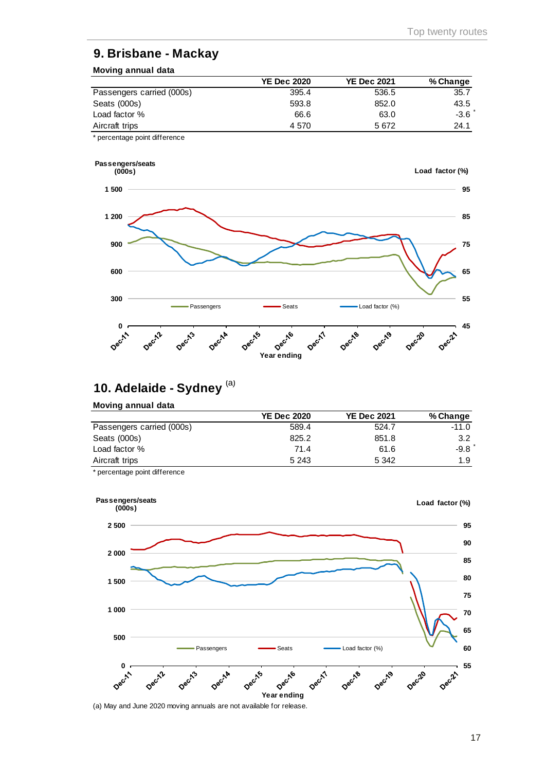## **9. Brisbane - Mackay**

#### **Moving annual data**

|                           | <b>YE Dec 2020</b> | <b>YE Dec 2021</b> | % Change |
|---------------------------|--------------------|--------------------|----------|
| Passengers carried (000s) | 395.4              | 536.5              | 35.7     |
| Seats (000s)              | 593.8              | 852.0              | 43.5     |
| Load factor %             | 66.6               | 63.0               | $-3.6$   |
| Aircraft trips            | 4 570              | 5672               | 24.1     |

\* percentage point difference



## **10. Adelaide - Sydney** (a)

#### **Moving annual data**

|                           | <b>YE Dec 2020</b> | <b>YE Dec 2021</b> | % Change |
|---------------------------|--------------------|--------------------|----------|
| Passengers carried (000s) | 589.4              | 524.7              | $-11.0$  |
| Seats (000s)              | 825.2              | 851.8              | 3.2      |
| Load factor %             | 71.4               | 61.6               | $-9.8$   |
| Aircraft trips            | 5 2 4 3            | 5 3 4 2            | 1.9      |
|                           |                    |                    |          |

\* percentage point difference



(a) May and June 2020 moving annuals are not available for release.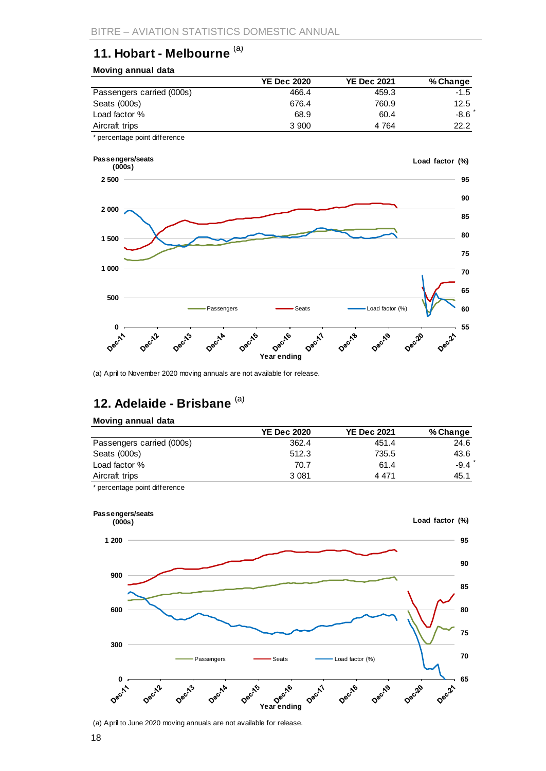## **11. Hobart - Melbourne** (a)

### **Moving annual data**

|                           | <b>YE Dec 2020</b> | <b>YE Dec 2021</b> | % Change |
|---------------------------|--------------------|--------------------|----------|
| Passengers carried (000s) | 466.4              | 459.3              | $-1.5$   |
| Seats (000s)              | 676.4              | 760.9              | 12.5     |
| Load factor %             | 68.9               | 60.4               | $-8.6$   |
| Aircraft trips            | 3 900              | 4 7 6 4            | 22.2     |

\* percentage point difference



(a) April to November 2020 moving annuals are not available for release.

## **12. Adelaide - Brisbane** (a)

#### **Moving annual data**

|                           | <b>YE Dec 2020</b> | <b>YE Dec 2021</b> | % Change |
|---------------------------|--------------------|--------------------|----------|
| Passengers carried (000s) | 362.4              | 451.4              | 24.6     |
| Seats (000s)              | 512.3              | 735.5              | 43.6     |
| Load factor %             | 70.7               | 61.4               | $-9.4$   |
| Aircraft trips            | 3 0 8 1            | 4 4 7 1            | 45.1     |
|                           |                    |                    |          |

\* percentage point difference



(a) April to June 2020 moving annuals are not available for release.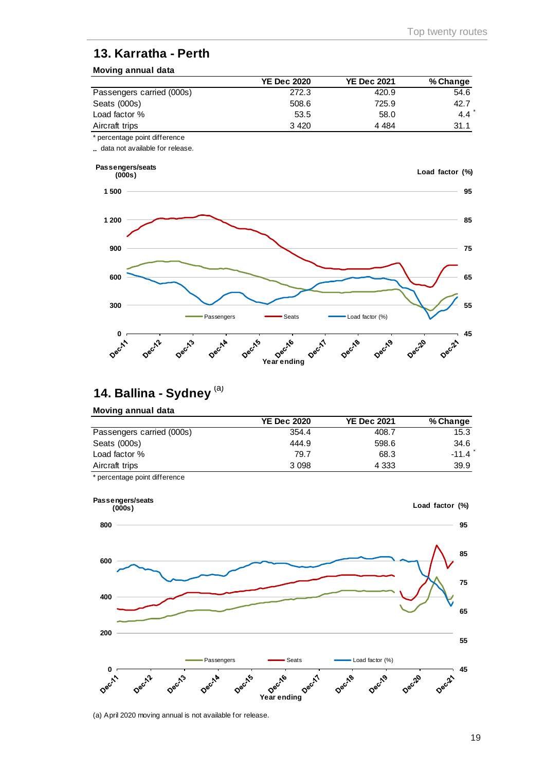## **13. Karratha - Perth**

#### **Moving annual data**

|                           | <b>YE Dec 2020</b> | <b>YE Dec 2021</b> | % Change |
|---------------------------|--------------------|--------------------|----------|
| Passengers carried (000s) | 272.3              | 420.9              | 54.6     |
| Seats (000s)              | 508.6              | 725.9              | 42.7     |
| Load factor %             | 53.5               | 58.0               | 4.4      |
| Aircraft trips            | 3 4 2 0            | 4 484              | 31.1     |

\* percentage point difference

**..** data not available for release.



## **14. Ballina - Sydney** (a)

#### **Moving annual data**

|                           | <b>YE Dec 2020</b> | <b>YE Dec 2021</b> | % Change |
|---------------------------|--------------------|--------------------|----------|
| Passengers carried (000s) | 354.4              | 408.7              | 15.3     |
| Seats (000s)              | 444.9              | 598.6              | 34.6     |
| Load factor %             | 79.7               | 68.3               | $-11.4$  |
| Aircraft trips            | 3 0 9 8            | 4 333              | 39.9     |
|                           |                    |                    |          |

\* percentage point difference



(a) April 2020 moving annual is not available for release.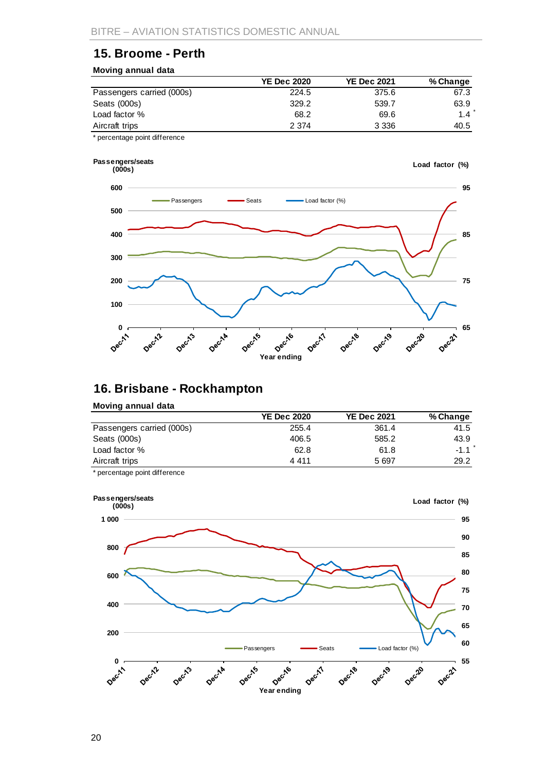### **15. Broome - Perth**

### **Moving annual data**

|                           | <b>YE Dec 2020</b> | <b>YE Dec 2021</b> | % Change        |
|---------------------------|--------------------|--------------------|-----------------|
| Passengers carried (000s) | 224.5              | 375.6              | 67.3            |
| Seats (000s)              | 329.2              | 539.7              | 63.9            |
| Load factor %             | 68.2               | 69.6               | 14 $^{\degree}$ |
| Aircraft trips            | 2 3 7 4            | 3 3 3 6            | 40.5            |

\* percentage point difference



### **16. Brisbane - Rockhampton**

#### **Moving annual data**

|                           | <b>YE Dec 2020</b> | <b>YE Dec 2021</b> | % Change |
|---------------------------|--------------------|--------------------|----------|
| Passengers carried (000s) | 255.4              | 361.4              | 41.5     |
| Seats (000s)              | 406.5              | 585.2              | 43.9     |
| Load factor %             | 62.8               | 61.8               | $-1.1$   |
| Aircraft trips            | 4 4 1 1            | 5 697              | 29.2     |
|                           |                    |                    |          |

\* percentage point difference

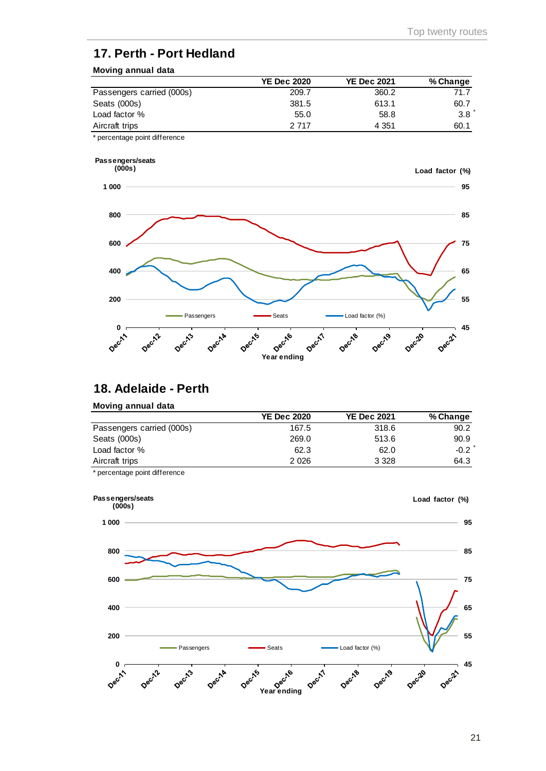## **17. Perth - Port Hedland**

| Moving annual data |  |
|--------------------|--|
|                    |  |

|                           | <b>YE Dec 2020</b> | <b>YE Dec 2021</b> | % Change |
|---------------------------|--------------------|--------------------|----------|
| Passengers carried (000s) | 209.7              | 360.2              | 71.7     |
| Seats (000s)              | 381.5              | 613.1              | 60.7     |
| Load factor %             | 55.0               | 58.8               | 3.8      |
| Aircraft trips            | 2 717              | 4 3 5 1            | 60.1     |

\* percentage point difference



### **18. Adelaide - Perth**

**Moving annual data**

|                           | <b>YE Dec 2020</b> | <b>YE Dec 2021</b> | % Change |
|---------------------------|--------------------|--------------------|----------|
| Passengers carried (000s) | 167.5              | 318.6              | 90.2     |
| Seats (000s)              | 269.0              | 513.6              | 90.9     |
| Load factor %             | 62.3               | 62.0               | $-0.2$   |
| Aircraft trips            | 2 0 2 6            | 3 3 2 8            | 64.3     |
|                           |                    |                    |          |

\* percentage point difference

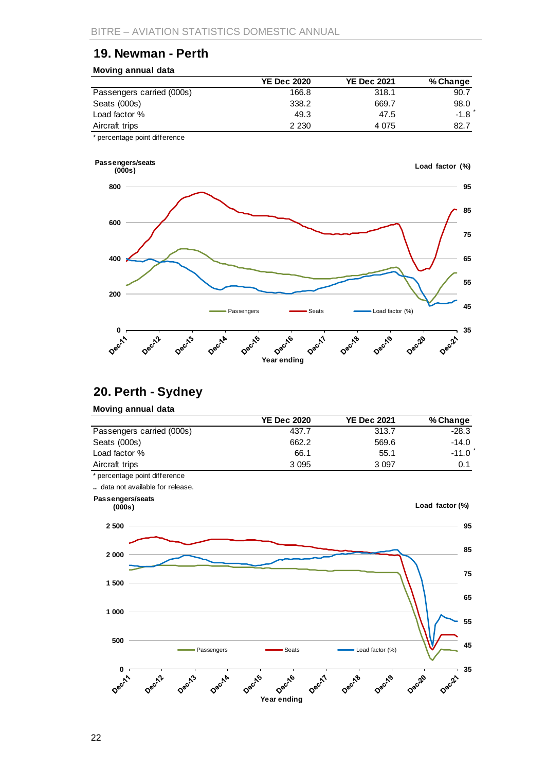### **19. Newman - Perth**

#### **Moving annual data**

|                           | <b>YE Dec 2020</b> | <b>YE Dec 2021</b> | % Change |
|---------------------------|--------------------|--------------------|----------|
| Passengers carried (000s) | 166.8              | 318.1              | 90.7     |
| Seats (000s)              | 338.2              | 669.7              | 98.0     |
| Load factor %             | 49.3               | 47.5               | $-1.8$ ໋ |
| Aircraft trips            | 2 2 3 0            | 4 0 7 5            | 82.7     |

\* percentage point difference



### **20. Perth - Sydney**

#### **Moving annual data**

|                                                                                                                                                                                                                               | <b>YE Dec 2020</b> | <b>YE Dec 2021</b> | % Change |
|-------------------------------------------------------------------------------------------------------------------------------------------------------------------------------------------------------------------------------|--------------------|--------------------|----------|
| Passengers carried (000s)                                                                                                                                                                                                     | 437.7              | 313.7              | $-28.3$  |
| Seats (000s)                                                                                                                                                                                                                  | 662.2              | 569.6              | $-14.0$  |
| Load factor %                                                                                                                                                                                                                 | 66.1               | 55.1               | $-11.0$  |
| Aircraft trips                                                                                                                                                                                                                | 3 0 9 5            | 3 0 9 7            | 0.1      |
| the company of the company of the company of the company of the company of the company of the company of the company of the company of the company of the company of the company of the company of the company of the company |                    |                    |          |

\* percentage point difference **..** data not available for release.

**Passengers/seats Load factor (%) (000s) 2 500 95 85 2 000 75 1 500 65 1 000 55 500 45** Passengers **Community** Seats **Community** Load factor (%) **35 0** 0 -Dec-20 Dec-18 Dec-19 Dec-12 **Vector**<br>
Year ending Decini Dec21 Decine Dec-14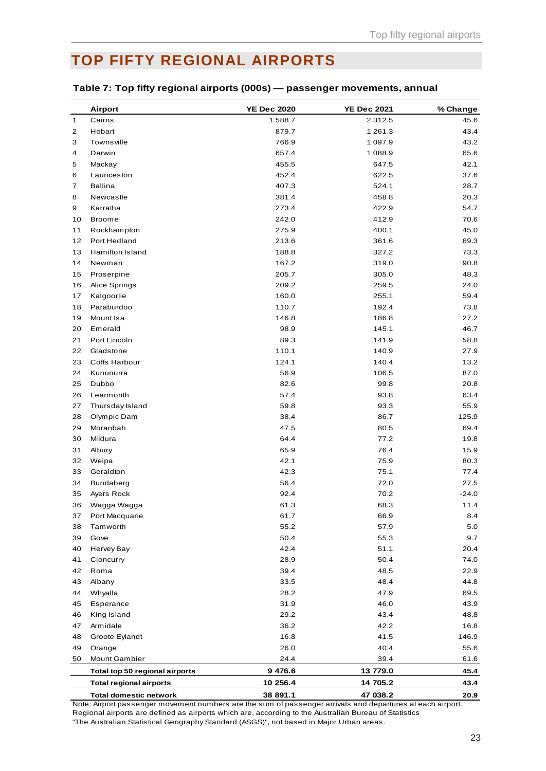## **TOP FIFTY REGIONAL AIRPORTS**

| Table 7: Top fifty regional airports (000s) - passenger movements, annual |  |  |  |
|---------------------------------------------------------------------------|--|--|--|
|                                                                           |  |  |  |

|    | Airport                        | <b>YE Dec 2020</b> | <b>YE Dec 2021</b> | % Change |
|----|--------------------------------|--------------------|--------------------|----------|
| 1  | Cairns                         | 1588.7             | 2 3 1 2 .5         | 45.6     |
| 2  | Hobart                         | 879.7              | 1 2 6 1 .3         | 43.4     |
| 3  | Townsville                     | 766.9              | 1 0 9 7 .9         | 43.2     |
| 4  | Darwin                         | 657.4              | 1088.9             | 65.6     |
| 5  | Mackay                         | 455.5              | 647.5              | 42.1     |
| 6  | Launceston                     | 452.4              | 622.5              | 37.6     |
| 7  | <b>Ballina</b>                 | 407.3              | 524.1              | 28.7     |
| 8  | Newcastle                      | 381.4              | 458.8              | 20.3     |
| 9  | Karratha                       | 273.4              | 422.9              | 54.7     |
| 10 | Broome                         | 242.0              | 412.9              | 70.6     |
| 11 | Rockhampton                    | 275.9              | 400.1              | 45.0     |
| 12 | Port Hedland                   | 213.6              | 361.6              | 69.3     |
| 13 | Hamilton Island                | 188.8              | 327.2              | 73.3     |
| 14 | Newman                         | 167.2              | 319.0              | 90.8     |
| 15 | Proserpine                     | 205.7              | 305.0              | 48.3     |
| 16 | Alice Springs                  | 209.2              | 259.5              | 24.0     |
| 17 | Kalgoorlie                     | 160.0              | 255.1              | 59.4     |
| 18 | Paraburdoo                     | 110.7              | 192.4              | 73.8     |
| 19 | Mount Isa                      | 146.8              | 186.8              | 27.2     |
| 20 | Emerald                        | 98.9               | 145.1              | 46.7     |
| 21 | Port Lincoln                   | 89.3               | 141.9              | 58.8     |
| 22 | Gladstone                      | 110.1              | 140.9              | 27.9     |
| 23 | Coffs Harbour                  | 124.1              | 140.4              | 13.2     |
| 24 | Kununurra                      | 56.9               | 106.5              | 87.0     |
| 25 | Dubbo                          | 82.6               | 99.8               | 20.8     |
| 26 | Learmonth                      | 57.4               | 93.8               | 63.4     |
| 27 | Thursday Island                | 59.8               | 93.3               | 55.9     |
| 28 | Olympic Dam                    | 38.4               | 86.7               | 125.9    |
| 29 | Moranbah                       | 47.5               | 80.5               | 69.4     |
| 30 | Mildura                        | 64.4               | 77.2               | 19.8     |
| 31 | Albury                         | 65.9               | 76.4               | 15.9     |
| 32 | Weipa                          | 42.1               | 75.9               | 80.3     |
| 33 | Geraldton                      | 42.3               | 75.1               | 77.4     |
| 34 | Bundaberg                      | 56.4               | 72.0               | 27.5     |
| 35 | Ayers Rock                     | 92.4               | 70.2               | $-24.0$  |
| 36 | Wagga Wagga                    | 61.3               | 68.3               | 11.4     |
| 37 | Port Macquarie                 | 61.7               | 66.9               | 8.4      |
| 38 | Tamworth                       | 55.2               | 57.9               | $5.0\,$  |
| 39 | Gove                           | 50.4               | 55.3               | 9.7      |
| 40 | Hervey Bay                     | 42.4               | 51.1               | 20.4     |
| 41 | Cloncurry                      | 28.9               | 50.4               | 74.0     |
| 42 | Roma                           | 39.4               | 48.5               | 22.9     |
| 43 | Albany                         | 33.5               | 48.4               | 44.8     |
| 44 | Whyalla                        | 28.2               | 47.9               | 69.5     |
| 45 | Esperance                      | 31.9               | 46.0               | 43.9     |
| 46 | King Island                    | 29.2               | 43.4               | 48.8     |
| 47 | Armidale                       | 36.2               | 42.2               | 16.8     |
| 48 | Groote Eylandt                 | 16.8               | 41.5               | 146.9    |
| 49 | Orange                         | 26.0               | 40.4               | 55.6     |
| 50 | Mount Gambier                  | 24.4               | 39.4               | 61.6     |
|    | Total top 50 regional airports | 9 476.6            | 13 779.0           | 45.4     |
|    | <b>Total regional airports</b> | 10 256.4           | 14 705.2           | 43.4     |
|    | <b>Total domestic network</b>  | 38 891.1           | 47 038.2           | 20.9     |

Note: Airport passenger movement numbers are the sum of passenger arrivals and departures at each airport. Regional airports are defined as airports which are, according to the Australian Bureau of Statistics "The Australian Statistical Geography Standard (ASGS)", not based in Major Urban areas.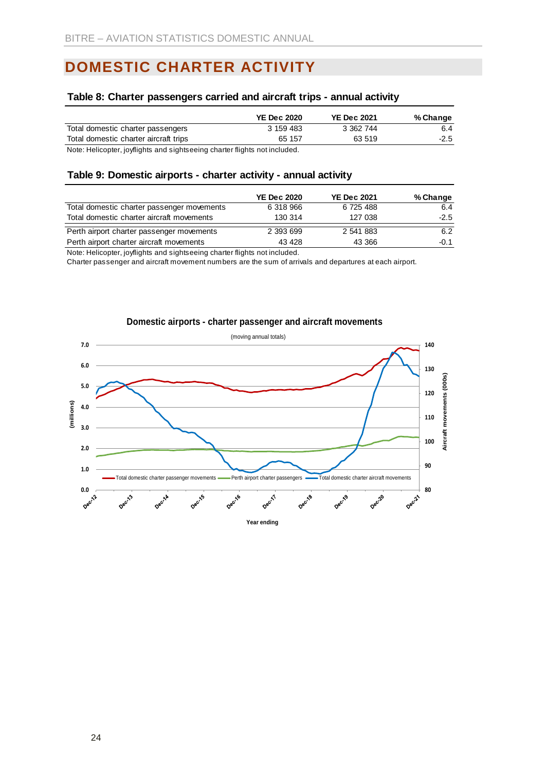## **DOMESTIC CHARTER ACTIVITY**

#### **Table 8: Charter passengers carried and aircraft trips - annual activity**

|                                       | <b>YE Dec 2020</b> | <b>YE Dec 2021</b> | % Change |
|---------------------------------------|--------------------|--------------------|----------|
| Total domestic charter passengers     | 3 159 483          | 3 362 744          | 6.4      |
| Total domestic charter aircraft trips | 65 157             | 63 519             | $-2.5$   |
| .                                     |                    |                    |          |

Note: Helicopter, joyflights and sightseeing charter flights not included.

#### **Table 9: Domestic airports - charter activity - annual activity**

|                                            | <b>YE Dec 2020</b> | <b>YE Dec 2021</b> | % Change |
|--------------------------------------------|--------------------|--------------------|----------|
| Total domestic charter passenger movements | 6 318 966          | 6 725 488          | 6.4      |
| Total domestic charter aircraft movements  | 130 314            | 127 038            | $-2.5$   |
| Perth airport charter passenger movements  | 2 393 699          | 2 541 883          | 6.2      |
| Perth airport charter aircraft movements   | 43 4 28            | 43 366             | $-0.1$   |

Note: Helicopter, joyflights and sightseeing charter flights not included.

Charter passenger and aircraft movement numbers are the sum of arrivals and departures at each airport.



### **Domestic airports - charter passenger and aircraft movements**